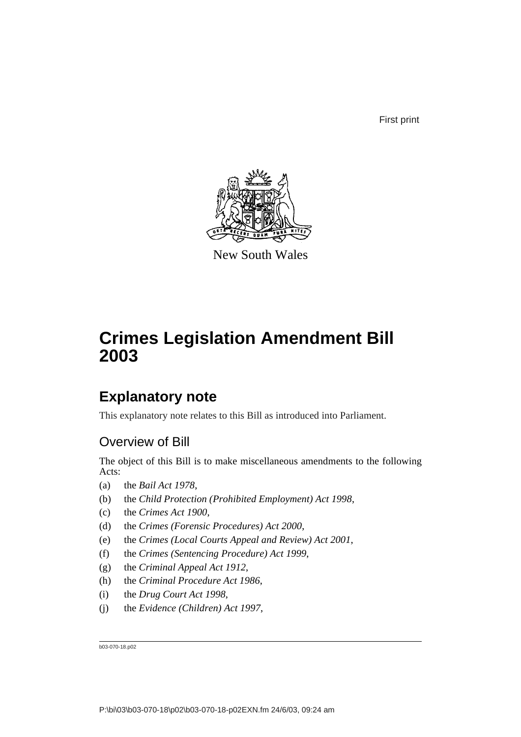First print



New South Wales

# **Crimes Legislation Amendment Bill 2003**

# **Explanatory note**

This explanatory note relates to this Bill as introduced into Parliament.

# Overview of Bill

The object of this Bill is to make miscellaneous amendments to the following Acts:

- (a) the *Bail Act 1978*,
- (b) the *Child Protection (Prohibited Employment) Act 1998*,
- (c) the *Crimes Act 1900*,
- (d) the *Crimes (Forensic Procedures) Act 2000*,
- (e) the *Crimes (Local Courts Appeal and Review) Act 2001*,
- (f) the *Crimes (Sentencing Procedure) Act 1999*,
- (g) the *Criminal Appeal Act 1912*,
- (h) the *Criminal Procedure Act 1986*,
- (i) the *Drug Court Act 1998*,
- (j) the *Evidence (Children) Act 1997*,

b03-070-18.p02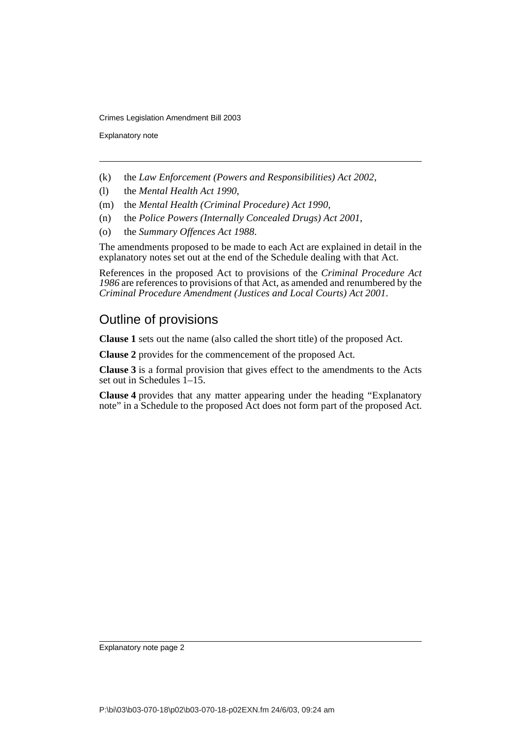Explanatory note

- (k) the *Law Enforcement (Powers and Responsibilities) Act 2002*,
- (l) the *Mental Health Act 1990*,
- (m) the *Mental Health (Criminal Procedure) Act 1990*,
- (n) the *Police Powers (Internally Concealed Drugs) Act 2001*,
- (o) the *Summary Offences Act 1988*.

The amendments proposed to be made to each Act are explained in detail in the explanatory notes set out at the end of the Schedule dealing with that Act.

References in the proposed Act to provisions of the *Criminal Procedure Act 1986* are references to provisions of that Act, as amended and renumbered by the *Criminal Procedure Amendment (Justices and Local Courts) Act 2001*.

# Outline of provisions

**Clause 1** sets out the name (also called the short title) of the proposed Act.

**Clause 2** provides for the commencement of the proposed Act.

**Clause 3** is a formal provision that gives effect to the amendments to the Acts set out in Schedules 1–15.

**Clause 4** provides that any matter appearing under the heading "Explanatory note" in a Schedule to the proposed Act does not form part of the proposed Act.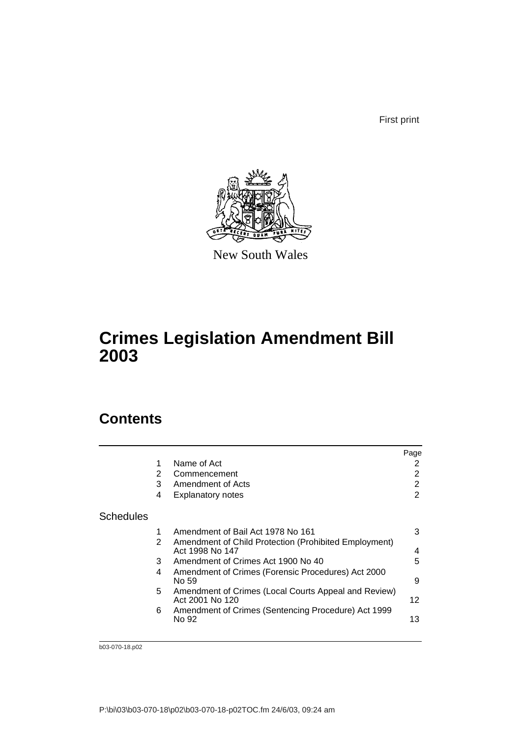First print



New South Wales

# **Crimes Legislation Amendment Bill 2003**

# **Contents**

|                  |   |                                                                          | Page |
|------------------|---|--------------------------------------------------------------------------|------|
|                  | 1 | Name of Act                                                              | 2    |
|                  | 2 | Commencement                                                             | 2    |
|                  | 3 | Amendment of Acts                                                        | 2    |
|                  | 4 | <b>Explanatory notes</b>                                                 | 2    |
| <b>Schedules</b> |   |                                                                          |      |
|                  | 1 | Amendment of Bail Act 1978 No 161                                        | 3    |
|                  | 2 | Amendment of Child Protection (Prohibited Employment)<br>Act 1998 No 147 | 4    |
|                  | 3 | Amendment of Crimes Act 1900 No 40                                       | 5    |
|                  | 4 | Amendment of Crimes (Forensic Procedures) Act 2000<br>No 59              | 9    |
|                  | 5 | Amendment of Crimes (Local Courts Appeal and Review)<br>Act 2001 No 120  | 12   |
|                  | 6 | Amendment of Crimes (Sentencing Procedure) Act 1999                      |      |
|                  |   | No 92                                                                    | 13   |
|                  |   |                                                                          |      |

b03-070-18.p02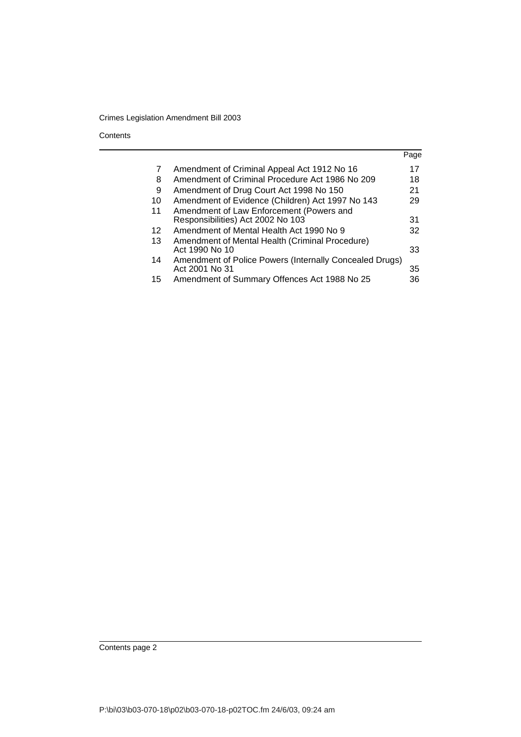**Contents** 

|    |                                                                               | Page |
|----|-------------------------------------------------------------------------------|------|
| 7  | Amendment of Criminal Appeal Act 1912 No 16                                   | 17   |
| 8  | Amendment of Criminal Procedure Act 1986 No 209                               | 18   |
| 9  | Amendment of Drug Court Act 1998 No 150                                       | 21   |
| 10 | Amendment of Evidence (Children) Act 1997 No 143                              | 29   |
| 11 | Amendment of Law Enforcement (Powers and<br>Responsibilities) Act 2002 No 103 | 31   |
| 12 | Amendment of Mental Health Act 1990 No 9                                      | 32   |
| 13 | Amendment of Mental Health (Criminal Procedure)<br>Act 1990 No 10             | 33   |
| 14 | Amendment of Police Powers (Internally Concealed Drugs)<br>Act 2001 No 31     | 35   |
| 15 | Amendment of Summary Offences Act 1988 No 25                                  | 36   |

Contents page 2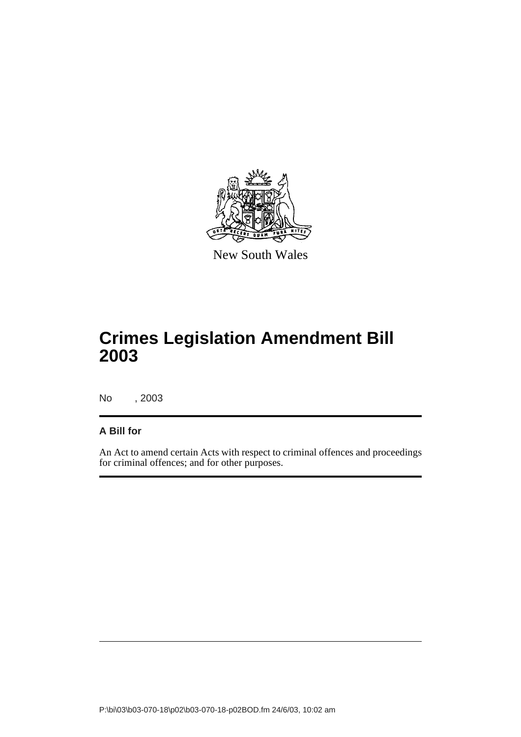

New South Wales

# **Crimes Legislation Amendment Bill 2003**

No , 2003

## **A Bill for**

An Act to amend certain Acts with respect to criminal offences and proceedings for criminal offences; and for other purposes.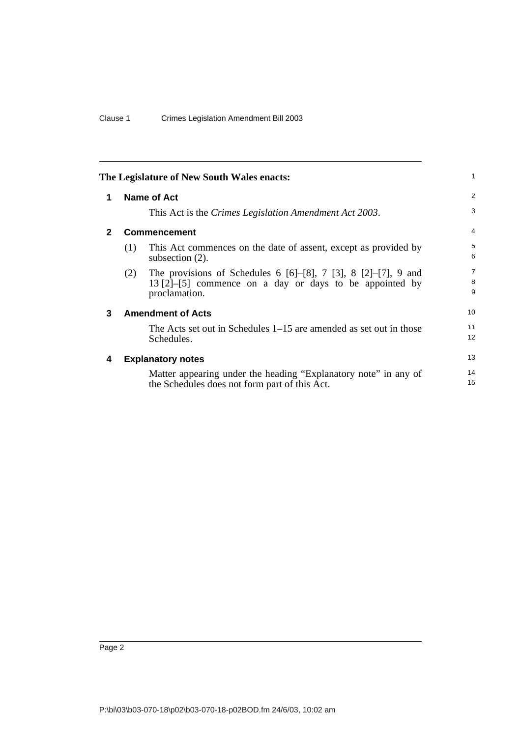<span id="page-5-2"></span><span id="page-5-1"></span><span id="page-5-0"></span>

|              |     | The Legislature of New South Wales enacts:                                                                                                                     | 1                        |
|--------------|-----|----------------------------------------------------------------------------------------------------------------------------------------------------------------|--------------------------|
| 1            |     | Name of Act                                                                                                                                                    | 2                        |
|              |     | This Act is the Crimes Legislation Amendment Act 2003.                                                                                                         | 3                        |
| $\mathbf{2}$ |     | <b>Commencement</b>                                                                                                                                            | 4                        |
|              | (1) | This Act commences on the date of assent, except as provided by<br>subsection $(2)$ .                                                                          | 5<br>6                   |
|              | (2) | The provisions of Schedules 6 $[6]$ – $[8]$ , 7 $[3]$ , 8 $[2]$ – $[7]$ , 9 and<br>$13 [2]$ -[5] commence on a day or days to be appointed by<br>proclamation. | $\overline{7}$<br>8<br>9 |
| 3            |     | <b>Amendment of Acts</b>                                                                                                                                       | 10                       |
|              |     | The Acts set out in Schedules $1-15$ are amended as set out in those<br>Schedules.                                                                             | 11<br>12                 |
| 4            |     | <b>Explanatory notes</b>                                                                                                                                       | 13                       |
|              |     | Matter appearing under the heading "Explanatory note" in any of<br>the Schedules does not form part of this Act.                                               | 14<br>15                 |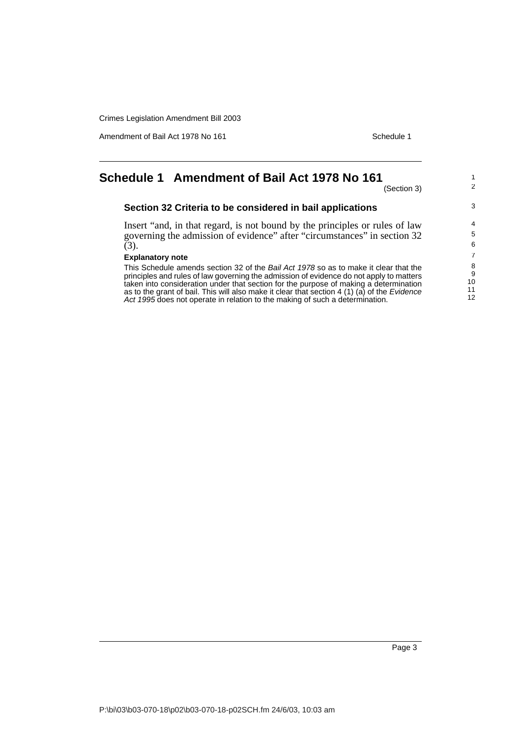Amendment of Bail Act 1978 No 161 Schedule 1

# <span id="page-6-0"></span>**Schedule 1 Amendment of Bail Act 1978 No 161**

(Section 3)

1 2

3

## **Section 32 Criteria to be considered in bail applications**

Insert "and, in that regard, is not bound by the principles or rules of law governing the admission of evidence" after "circumstances" in section 32  $(3).$ 

## **Explanatory note**

This Schedule amends section 32 of the Bail Act 1978 so as to make it clear that the principles and rules of law governing the admission of evidence do not apply to matters taken into consideration under that section for the purpose of making a determination as to the grant of bail. This will also make it clear that section 4 (1) (a) of the Evidence Act 1995 does not operate in relation to the making of such a determination.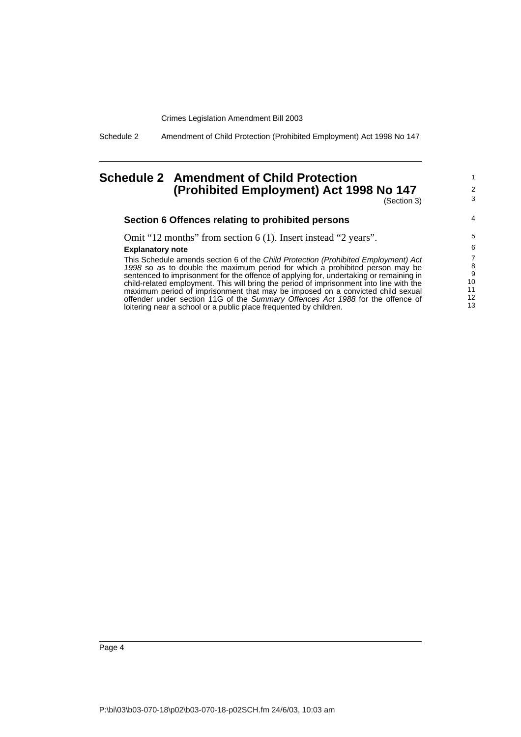Schedule 2 Amendment of Child Protection (Prohibited Employment) Act 1998 No 147

# <span id="page-7-0"></span>**Schedule 2 Amendment of Child Protection (Prohibited Employment) Act 1998 No 147**

(Section 3)

1 2 3

4

## **Section 6 Offences relating to prohibited persons**

Omit "12 months" from section 6 (1). Insert instead "2 years".

#### **Explanatory note**

This Schedule amends section 6 of the Child Protection (Prohibited Employment) Act 1998 so as to double the maximum period for which a prohibited person may be sentenced to imprisonment for the offence of applying for, undertaking or remaining in child-related employment. This will bring the period of imprisonment into line with the maximum period of imprisonment that may be imposed on a convicted child sexual offender under section 11G of the Summary Offences Act 1988 for the offence of loitering near a school or a public place frequented by children.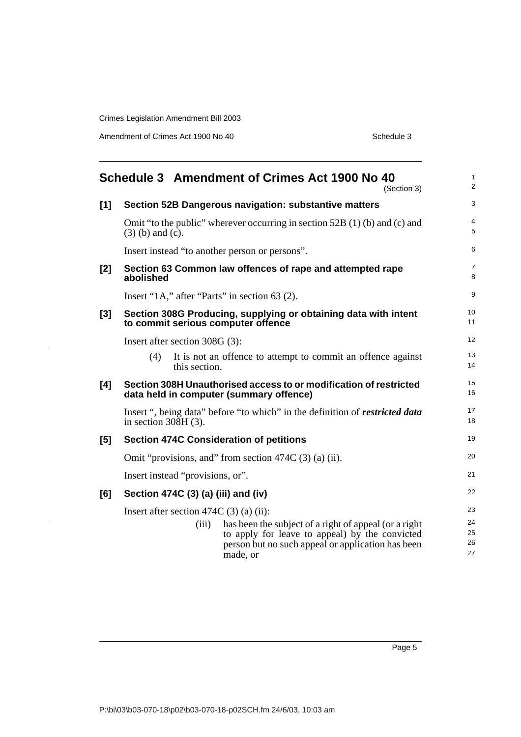Amendment of Crimes Act 1900 No 40 Schedule 3

 $\bar{z}$ 

<span id="page-8-0"></span>

|       | Schedule 3 Amendment of Crimes Act 1900 No 40<br>(Section 3)                                                    | 1<br>$\overline{2}$ |
|-------|-----------------------------------------------------------------------------------------------------------------|---------------------|
| $[1]$ | Section 52B Dangerous navigation: substantive matters                                                           | 3                   |
|       | Omit "to the public" wherever occurring in section 52B $(1)$ (b) and (c) and<br>$(3)$ (b) and (c).              | 4<br>5              |
|       | Insert instead "to another person or persons".                                                                  | 6                   |
| [2]   | Section 63 Common law offences of rape and attempted rape<br>abolished                                          | 7<br>8              |
|       | Insert "1A," after "Parts" in section $63(2)$ .                                                                 | 9                   |
| [3]   | Section 308G Producing, supplying or obtaining data with intent<br>to commit serious computer offence           | 10<br>11            |
|       | Insert after section 308G (3):                                                                                  | 12                  |
|       | (4)<br>It is not an offence to attempt to commit an offence against<br>this section.                            | 13<br>14            |
| [4]   | Section 308H Unauthorised access to or modification of restricted<br>data held in computer (summary offence)    | 15<br>16            |
|       | Insert ", being data" before "to which" in the definition of <i>restricted data</i><br>in section $308H(3)$ .   | 17<br>18            |
| [5]   | <b>Section 474C Consideration of petitions</b>                                                                  | 19                  |
|       | Omit "provisions, and" from section $474C(3)$ (a) (ii).                                                         | 20                  |
|       | Insert instead "provisions, or".                                                                                | 21                  |
| [6]   | Section 474C (3) (a) (iii) and (iv)                                                                             | 22                  |
|       | Insert after section 474C $(3)$ (a) (ii):<br>(iii)<br>has been the subject of a right of appeal (or a right     | 23<br>24            |
|       | to apply for leave to appeal) by the convicted<br>person but no such appeal or application has been<br>made, or | 25<br>26<br>27      |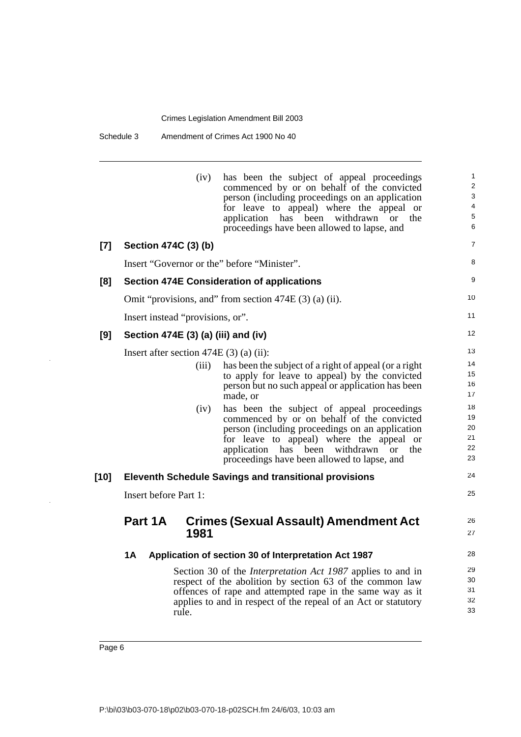Schedule 3 Amendment of Crimes Act 1900 No 40

|       | (iv)<br>has been the subject of appeal proceedings<br>commenced by or on behalf of the convicted<br>person (including proceedings on an application<br>for leave to appeal) where the appeal or<br>application has<br>been withdrawn<br><sub>or</sub><br>proceedings have been allowed to lapse, and | $\mathbf{1}$<br>$\overline{2}$<br>3<br>4<br>5<br>the<br>6 |
|-------|------------------------------------------------------------------------------------------------------------------------------------------------------------------------------------------------------------------------------------------------------------------------------------------------------|-----------------------------------------------------------|
| $[7]$ | Section 474C (3) (b)                                                                                                                                                                                                                                                                                 | $\overline{7}$                                            |
|       | Insert "Governor or the" before "Minister".                                                                                                                                                                                                                                                          | 8                                                         |
| [8]   | <b>Section 474E Consideration of applications</b>                                                                                                                                                                                                                                                    | 9                                                         |
|       | Omit "provisions, and" from section $474E(3)$ (a) (ii).                                                                                                                                                                                                                                              | 10                                                        |
|       | Insert instead "provisions, or".                                                                                                                                                                                                                                                                     | 11                                                        |
| [9]   | Section 474E (3) (a) (iii) and (iv)                                                                                                                                                                                                                                                                  | 12                                                        |
|       | Insert after section $474E(3)$ (a) (ii):                                                                                                                                                                                                                                                             | 13                                                        |
|       | (iii)<br>has been the subject of a right of appeal (or a right<br>to apply for leave to appeal) by the convicted<br>person but no such appeal or application has been<br>made, or                                                                                                                    | 14<br>15<br>16<br>17                                      |
|       | has been the subject of appeal proceedings<br>(iv)<br>commenced by or on behalf of the convicted<br>person (including proceedings on an application<br>for leave to appeal) where the appeal or<br>application has<br>withdrawn<br>been<br><b>or</b><br>proceedings have been allowed to lapse, and  | 18<br>19<br>20<br>21<br>22<br>the<br>23                   |
| [10]  | <b>Eleventh Schedule Savings and transitional provisions</b>                                                                                                                                                                                                                                         | 24                                                        |
|       | Insert before Part 1:                                                                                                                                                                                                                                                                                | 25                                                        |
|       | Part 1A<br><b>Crimes (Sexual Assault) Amendment Act</b><br>1981                                                                                                                                                                                                                                      | 26<br>27                                                  |
|       | Application of section 30 of Interpretation Act 1987<br>1A                                                                                                                                                                                                                                           | 28                                                        |
|       | Section 30 of the <i>Interpretation Act 1987</i> applies to and in<br>respect of the abolition by section 63 of the common law<br>offences of rape and attempted rape in the same way as it<br>applies to and in respect of the repeal of an Act or statutory<br>rule.                               | 29<br>30<br>31<br>32<br>33                                |

 $\ddot{\phantom{a}}$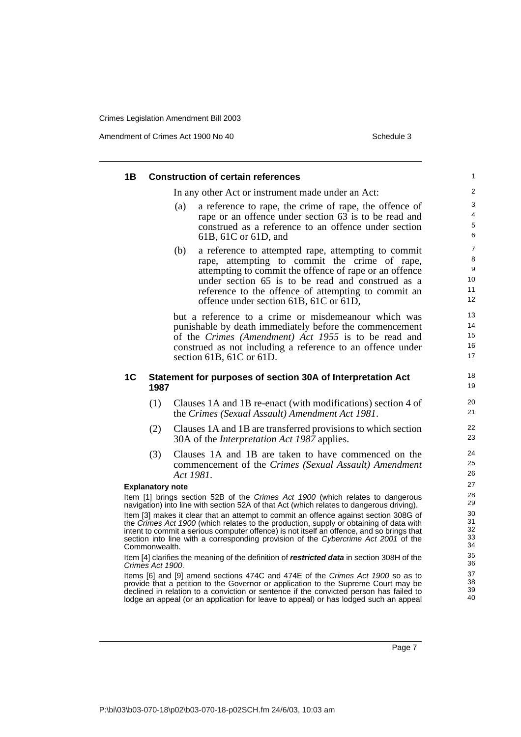Amendment of Crimes Act 1900 No 40 Schedule 3

|    |                         | In any other Act or instrument made under an Act:                                                                                                                               |  |
|----|-------------------------|---------------------------------------------------------------------------------------------------------------------------------------------------------------------------------|--|
|    |                         | a reference to rape, the crime of rape, the offence of<br>(a)                                                                                                                   |  |
|    |                         | rape or an offence under section 63 is to be read and<br>construed as a reference to an offence under section                                                                   |  |
|    |                         | 61B, 61C or 61D, and                                                                                                                                                            |  |
|    |                         | a reference to attempted rape, attempting to commit<br>(b)                                                                                                                      |  |
|    |                         | rape, attempting to commit the crime of rape,                                                                                                                                   |  |
|    |                         | attempting to commit the offence of rape or an offence                                                                                                                          |  |
|    |                         | under section 65 is to be read and construed as a                                                                                                                               |  |
|    |                         | reference to the offence of attempting to commit an<br>offence under section 61B, 61C or 61D,                                                                                   |  |
|    |                         | but a reference to a crime or misdemeanour which was                                                                                                                            |  |
|    |                         | punishable by death immediately before the commencement                                                                                                                         |  |
|    |                         | of the Crimes (Amendment) Act 1955 is to be read and                                                                                                                            |  |
|    |                         | construed as not including a reference to an offence under<br>section 61B, 61C or 61D.                                                                                          |  |
|    |                         |                                                                                                                                                                                 |  |
| 1C | 1987                    | Statement for purposes of section 30A of Interpretation Act                                                                                                                     |  |
|    | (1)                     | Clauses 1A and 1B re-enact (with modifications) section 4 of<br>the Crimes (Sexual Assault) Amendment Act 1981.                                                                 |  |
|    | (2)                     | Clauses 1A and 1B are transferred provisions to which section<br>30A of the <i>Interpretation Act 1987</i> applies.                                                             |  |
|    | (3)                     | Clauses 1A and 1B are taken to have commenced on the                                                                                                                            |  |
|    |                         | commencement of the Crimes (Sexual Assault) Amendment                                                                                                                           |  |
|    |                         | Act 1981.                                                                                                                                                                       |  |
|    | <b>Explanatory note</b> |                                                                                                                                                                                 |  |
|    |                         | Item [1] brings section 52B of the Crimes Act 1900 (which relates to dangerous<br>navigation) into line with section 52A of that Act (which relates to dangerous driving).      |  |
|    |                         | Item [3] makes it clear that an attempt to commit an offence against section 308G of                                                                                            |  |
|    |                         | the Crimes Act 1900 (which relates to the production, supply or obtaining of data with                                                                                          |  |
|    | Commonwealth.           | intent to commit a serious computer offence) is not itself an offence, and so brings that<br>section into line with a corresponding provision of the Cybercrime Act 2001 of the |  |
|    | Crimes Act 1900.        | Item [4] clarifies the meaning of the definition of restricted data in section 308H of the                                                                                      |  |
|    |                         | Items [6] and [9] amend sections 474C and 474E of the Crimes Act 1900 so as to<br>provide that a petition to the Governor or application to the Supreme Court may be            |  |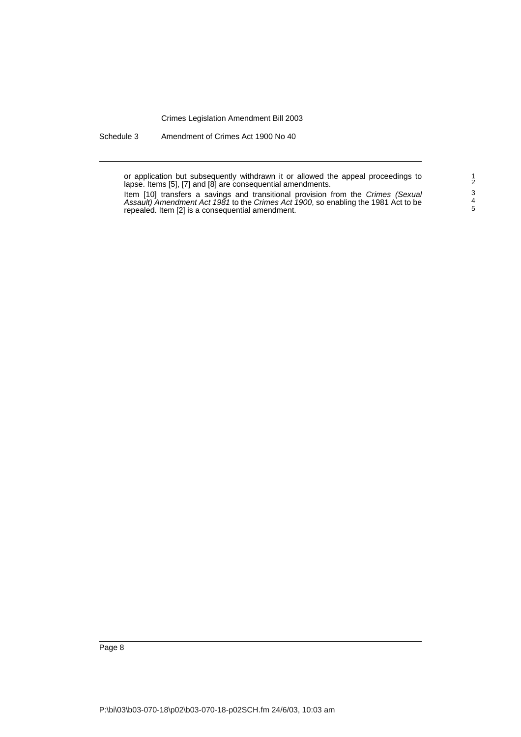Schedule 3 Amendment of Crimes Act 1900 No 40

or application but subsequently withdrawn it or allowed the appeal proceedings to lapse. Items [5], [7] and [8] are consequential amendments.

Item [10] transfers a savings and transitional provision from the Crimes (Sexual Assault) Amendment Act 1981 to the Crimes Act 1900, so enabling the 1981 Act to be repealed. Item [2] is a consequential amendment.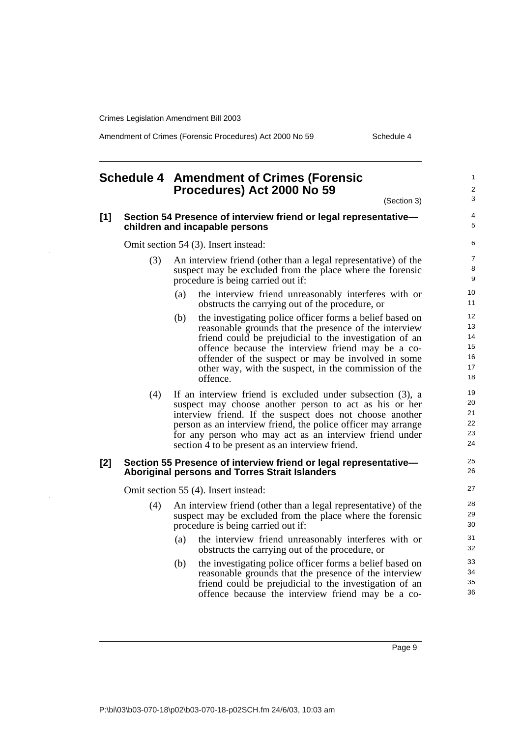$\ddot{\phantom{1}}$ 

Amendment of Crimes (Forensic Procedures) Act 2000 No 59 Schedule 4

<span id="page-12-0"></span>

|     |     | <b>Schedule 4 Amendment of Crimes (Forensic</b><br>Procedures) Act 2000 No 59<br>(Section 3)                                                                                                                                                                                                                                                                       |
|-----|-----|--------------------------------------------------------------------------------------------------------------------------------------------------------------------------------------------------------------------------------------------------------------------------------------------------------------------------------------------------------------------|
| [1] |     | Section 54 Presence of interview friend or legal representative-<br>children and incapable persons                                                                                                                                                                                                                                                                 |
|     |     | Omit section 54 (3). Insert instead:                                                                                                                                                                                                                                                                                                                               |
|     | (3) | An interview friend (other than a legal representative) of the<br>suspect may be excluded from the place where the forensic<br>procedure is being carried out if:                                                                                                                                                                                                  |
|     |     | the interview friend unreasonably interferes with or<br>(a)<br>obstructs the carrying out of the procedure, or                                                                                                                                                                                                                                                     |
|     |     | (b)<br>the investigating police officer forms a belief based on<br>reasonable grounds that the presence of the interview<br>friend could be prejudicial to the investigation of an<br>offence because the interview friend may be a co-<br>offender of the suspect or may be involved in some<br>other way, with the suspect, in the commission of the<br>offence. |
|     | (4) | If an interview friend is excluded under subsection (3), a<br>suspect may choose another person to act as his or her<br>interview friend. If the suspect does not choose another<br>person as an interview friend, the police officer may arrange<br>for any person who may act as an interview friend under<br>section 4 to be present as an interview friend.    |
| [2] |     | Section 55 Presence of interview friend or legal representative-<br><b>Aboriginal persons and Torres Strait Islanders</b>                                                                                                                                                                                                                                          |
|     |     | Omit section 55 (4). Insert instead:                                                                                                                                                                                                                                                                                                                               |
|     | (4) | An interview friend (other than a legal representative) of the<br>suspect may be excluded from the place where the forensic<br>procedure is being carried out if:                                                                                                                                                                                                  |
|     |     | the interview friend unreasonably interferes with or<br>(a)<br>obstructs the carrying out of the procedure, or                                                                                                                                                                                                                                                     |
|     |     | the investigating police officer forms a belief based on<br>(b)<br>reasonable grounds that the presence of the interview<br>friend could be prejudicial to the investigation of an                                                                                                                                                                                 |

offence because the interview friend may be a co-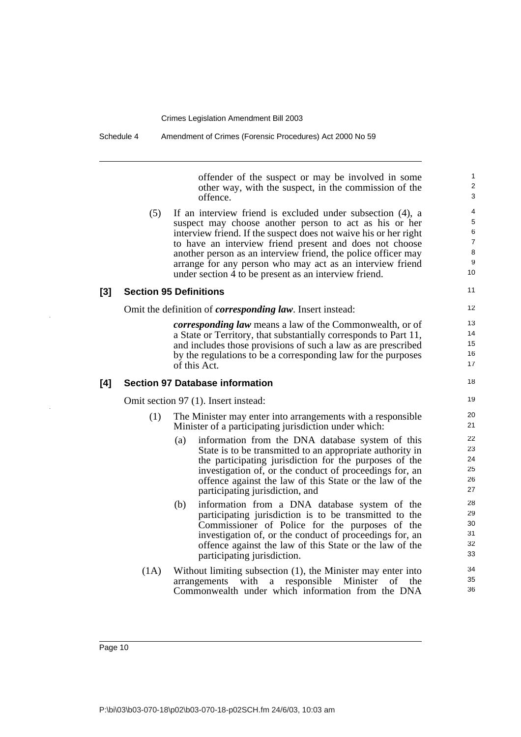offender of the suspect or may be involved in some other way, with the suspect, in the commission of the offence.

11

18

(5) If an interview friend is excluded under subsection (4), a suspect may choose another person to act as his or her interview friend. If the suspect does not waive his or her right to have an interview friend present and does not choose another person as an interview friend, the police officer may arrange for any person who may act as an interview friend under section 4 to be present as an interview friend.

## **[3] Section 95 Definitions**

Omit the definition of *corresponding law*. Insert instead:

*corresponding law* means a law of the Commonwealth, or of a State or Territory, that substantially corresponds to Part 11, and includes those provisions of such a law as are prescribed by the regulations to be a corresponding law for the purposes of this Act.

#### **[4] Section 97 Database information**

Omit section 97 (1). Insert instead:

- (1) The Minister may enter into arrangements with a responsible Minister of a participating jurisdiction under which:
	- (a) information from the DNA database system of this State is to be transmitted to an appropriate authority in the participating jurisdiction for the purposes of the investigation of, or the conduct of proceedings for, an offence against the law of this State or the law of the participating jurisdiction, and
	- (b) information from a DNA database system of the participating jurisdiction is to be transmitted to the Commissioner of Police for the purposes of the investigation of, or the conduct of proceedings for, an offence against the law of this State or the law of the participating jurisdiction.
- (1A) Without limiting subsection (1), the Minister may enter into arrangements with a responsible Minister of the Commonwealth under which information from the DNA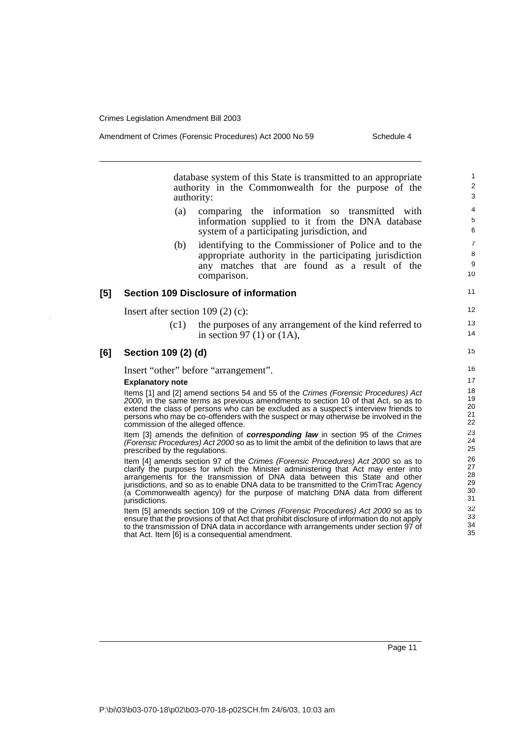11

12 13 14

Amendment of Crimes (Forensic Procedures) Act 2000 No 59 Schedule 4

database system of this State is transmitted to an appropriate authority in the Commonwealth for the purpose of the authority:

- (a) comparing the information so transmitted with information supplied to it from the DNA database system of a participating jurisdiction, and
- (b) identifying to the Commissioner of Police and to the appropriate authority in the participating jurisdiction any matches that are found as a result of the comparison.

#### **[5] Section 109 Disclosure of information**

Insert after section 109 (2) (c):

(c1) the purposes of any arrangement of the kind referred to in section 97 (1) or (1A),

#### **[6] Section 109 (2) (d)**

Insert "other" before "arrangement".

#### **Explanatory note**

Items [1] and [2] amend sections 54 and 55 of the Crimes (Forensic Procedures) Act 2000, in the same terms as previous amendments to section 10 of that Act, so as to extend the class of persons who can be excluded as a suspect's interview friends to persons who may be co-offenders with the suspect or may otherwise be involved in the commission of the alleged offence.

Item [3] amends the definition of **corresponding law** in section 95 of the Crimes (Forensic Procedures) Act 2000 so as to limit the ambit of the definition to laws that are prescribed by the regulations.

Item [4] amends section 97 of the Crimes (Forensic Procedures) Act 2000 so as to clarify the purposes for which the Minister administering that Act may enter into arrangements for the transmission of DNA data between this State and other jurisdictions, and so as to enable DNA data to be transmitted to the CrimTrac Agency (a Commonwealth agency) for the purpose of matching DNA data from different jurisdictions.

Item [5] amends section 109 of the Crimes (Forensic Procedures) Act 2000 so as to ensure that the provisions of that Act that prohibit disclosure of information do not apply to the transmission of DNA data in accordance with arrangements under section 97 of that Act. Item [6] is a consequential amendment.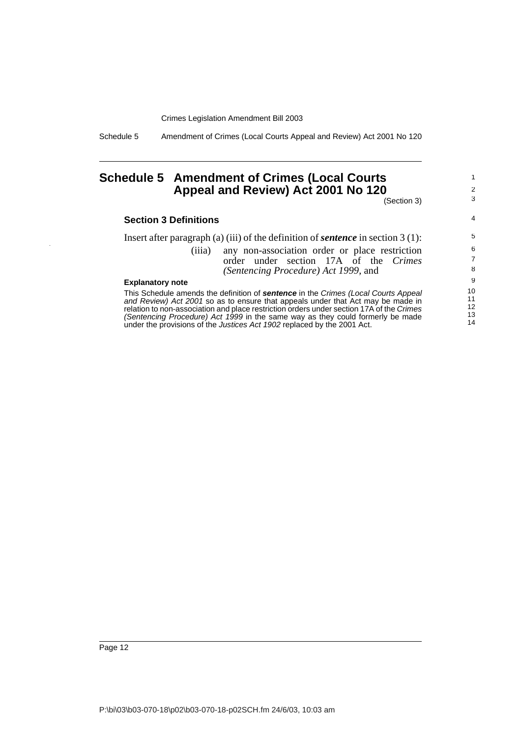Schedule 5 Amendment of Crimes (Local Courts Appeal and Review) Act 2001 No 120

## <span id="page-15-0"></span>**Schedule 5 Amendment of Crimes (Local Courts Appeal and Review) Act 2001 No 120**

(Section 3)

1 2 3

4

#### **Section 3 Definitions**

Insert after paragraph (a) (iii) of the definition of *sentence* in section 3 (1): (iiia) any non-association order or place restriction order under section 17A of the *Crimes (Sentencing Procedure) Act 1999*, and

#### **Explanatory note**

This Schedule amends the definition of **sentence** in the Crimes (Local Courts Appeal and Review) Act 2001 so as to ensure that appeals under that Act may be made in relation to non-association and place restriction orders under section 17A of the Crimes (Sentencing Procedure) Act 1999 in the same way as they could formerly be made under the provisions of the Justices Act 1902 replaced by the 2001 Act.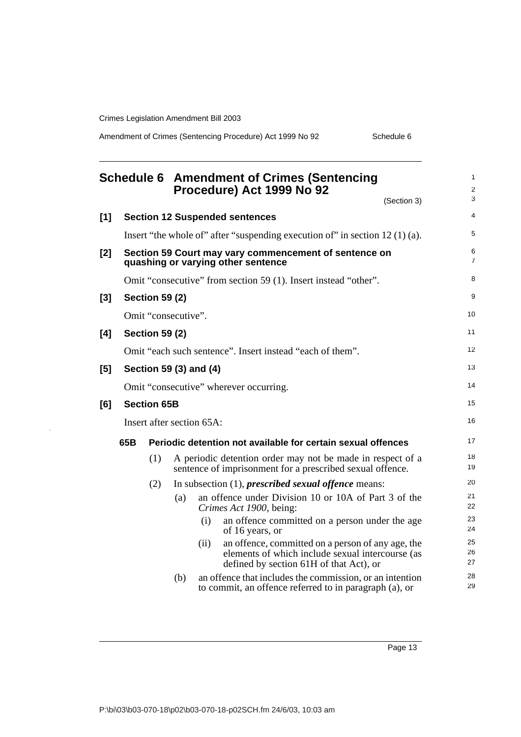Amendment of Crimes (Sentencing Procedure) Act 1999 No 92 Schedule 6

<span id="page-16-0"></span>

|       |     |                       |                           |      | <b>Schedule 6 Amendment of Crimes (Sentencing</b><br>Procedure) Act 1999 No 92                                                                   | 1<br>2<br>3         |
|-------|-----|-----------------------|---------------------------|------|--------------------------------------------------------------------------------------------------------------------------------------------------|---------------------|
| [1]   |     |                       |                           |      | (Section 3)<br><b>Section 12 Suspended sentences</b>                                                                                             | $\overline{4}$      |
|       |     |                       |                           |      |                                                                                                                                                  |                     |
|       |     |                       |                           |      | Insert "the whole of" after "suspending execution of" in section $12(1)(a)$ .                                                                    | 5                   |
| $[2]$ |     |                       |                           |      | Section 59 Court may vary commencement of sentence on<br>quashing or varying other sentence                                                      | 6<br>$\overline{7}$ |
|       |     |                       |                           |      | Omit "consecutive" from section 59 (1). Insert instead "other".                                                                                  | 8                   |
| $[3]$ |     | <b>Section 59 (2)</b> |                           |      |                                                                                                                                                  | 9                   |
|       |     |                       | Omit "consecutive".       |      |                                                                                                                                                  | 10                  |
| [4]   |     | <b>Section 59 (2)</b> |                           |      |                                                                                                                                                  | 11                  |
|       |     |                       |                           |      | Omit "each such sentence". Insert instead "each of them".                                                                                        | 12                  |
| [5]   |     |                       | Section 59 (3) and (4)    |      |                                                                                                                                                  | 13                  |
|       |     |                       |                           |      | Omit "consecutive" wherever occurring.                                                                                                           | 14                  |
| [6]   |     | <b>Section 65B</b>    |                           |      |                                                                                                                                                  | 15                  |
|       |     |                       | Insert after section 65A: |      |                                                                                                                                                  | 16                  |
|       | 65B |                       |                           |      | Periodic detention not available for certain sexual offences                                                                                     | 17                  |
|       |     | (1)                   |                           |      | A periodic detention order may not be made in respect of a<br>sentence of imprisonment for a prescribed sexual offence.                          | 18<br>19            |
|       |     | (2)                   |                           |      | In subsection $(1)$ , <i>prescribed sexual offence</i> means:                                                                                    | 20                  |
|       |     |                       | (a)                       |      | an offence under Division 10 or 10A of Part 3 of the<br>Crimes Act 1900, being:                                                                  | 21<br>22            |
|       |     |                       |                           | (i)  | an offence committed on a person under the age<br>of 16 years, or                                                                                | 23<br>24            |
|       |     |                       |                           | (ii) | an offence, committed on a person of any age, the<br>elements of which include sexual intercourse (as<br>defined by section 61H of that Act), or | 25<br>26<br>27      |
|       |     |                       | (b)                       |      | an offence that includes the commission, or an intention<br>to commit, an offence referred to in paragraph (a), or                               | 28<br>29            |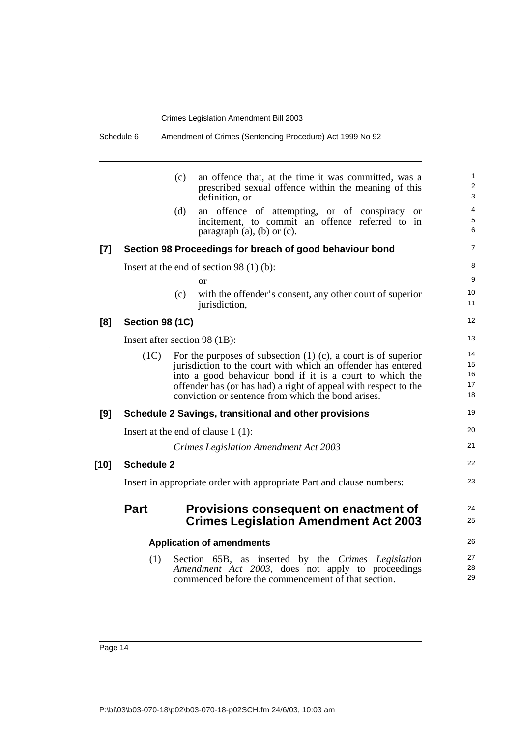|        |                               | (c)<br>(d) | an offence that, at the time it was committed, was a<br>prescribed sexual offence within the meaning of this<br>definition, or<br>an offence of attempting, or of conspiracy<br><b>or</b>                                                                                                                                | 1<br>$\overline{\mathbf{c}}$<br>3 |
|--------|-------------------------------|------------|--------------------------------------------------------------------------------------------------------------------------------------------------------------------------------------------------------------------------------------------------------------------------------------------------------------------------|-----------------------------------|
|        |                               |            |                                                                                                                                                                                                                                                                                                                          |                                   |
|        |                               |            | incitement, to commit an offence referred to in<br>paragraph $(a)$ , $(b)$ or $(c)$ .                                                                                                                                                                                                                                    | 4<br>5<br>6                       |
| [7]    |                               |            | Section 98 Proceedings for breach of good behaviour bond                                                                                                                                                                                                                                                                 | 7                                 |
|        |                               |            | Insert at the end of section 98 $(1)$ (b):                                                                                                                                                                                                                                                                               | 8                                 |
|        |                               |            | or                                                                                                                                                                                                                                                                                                                       | 9                                 |
|        |                               | (c)        | with the offender's consent, any other court of superior<br>jurisdiction,                                                                                                                                                                                                                                                | 10<br>11                          |
| [8]    | Section 98 (1C)               |            |                                                                                                                                                                                                                                                                                                                          | 12                                |
|        | Insert after section 98 (1B): |            |                                                                                                                                                                                                                                                                                                                          | 13                                |
|        | (1C)                          |            | For the purposes of subsection $(1)$ $(c)$ , a court is of superior<br>jurisdiction to the court with which an offender has entered<br>into a good behaviour bond if it is a court to which the<br>offender has (or has had) a right of appeal with respect to the<br>conviction or sentence from which the bond arises. | 14<br>15<br>16<br>17<br>18        |
| [9]    |                               |            | Schedule 2 Savings, transitional and other provisions                                                                                                                                                                                                                                                                    | 19                                |
|        |                               |            | Insert at the end of clause $1(1)$ :                                                                                                                                                                                                                                                                                     | 20                                |
|        |                               |            | <b>Crimes Legislation Amendment Act 2003</b>                                                                                                                                                                                                                                                                             | 21                                |
| $[10]$ | <b>Schedule 2</b>             |            |                                                                                                                                                                                                                                                                                                                          | 22                                |
|        |                               |            | Insert in appropriate order with appropriate Part and clause numbers:                                                                                                                                                                                                                                                    | 23                                |
|        | <b>Part</b>                   |            | Provisions consequent on enactment of<br><b>Crimes Legislation Amendment Act 2003</b>                                                                                                                                                                                                                                    | 24<br>25                          |
|        |                               |            | <b>Application of amendments</b>                                                                                                                                                                                                                                                                                         | 26                                |
|        | (1)                           |            | Section 65B, as inserted by the Crimes Legislation                                                                                                                                                                                                                                                                       | 27                                |
|        |                               |            | Amendment Act 2003, does not apply to proceedings<br>commenced before the commencement of that section.                                                                                                                                                                                                                  | 28<br>29                          |

 $\bar{z}$ 

 $\ddot{\phantom{a}}$ 

 $\bar{z}$ 

 $\ddot{\phantom{a}}$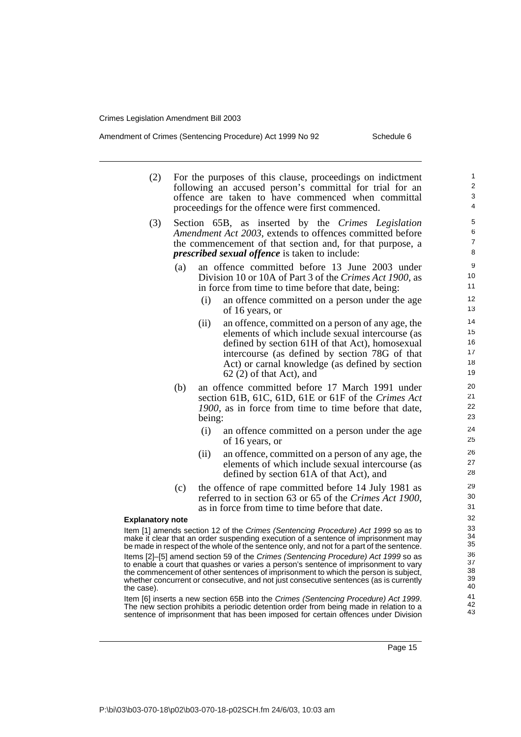- (2) For the purposes of this clause, proceedings on indictment following an accused person's committal for trial for an offence are taken to have commenced when committal proceedings for the offence were first commenced.
- (3) Section 65B, as inserted by the *Crimes Legislation Amendment Act 2003*, extends to offences committed before the commencement of that section and, for that purpose, a *prescribed sexual offence* is taken to include:
	- (a) an offence committed before 13 June 2003 under Division 10 or 10A of Part 3 of the *Crimes Act 1900*, as in force from time to time before that date, being:
		- (i) an offence committed on a person under the age of 16 years, or
		- (ii) an offence, committed on a person of any age, the elements of which include sexual intercourse (as defined by section 61H of that Act), homosexual intercourse (as defined by section 78G of that Act) or carnal knowledge (as defined by section 62 (2) of that Act), and
	- (b) an offence committed before 17 March 1991 under section 61B, 61C, 61D, 61E or 61F of the *Crimes Act 1900*, as in force from time to time before that date, being:
		- (i) an offence committed on a person under the age of 16 years, or
		- (ii) an offence, committed on a person of any age, the elements of which include sexual intercourse (as defined by section 61A of that Act), and
	- (c) the offence of rape committed before 14 July 1981 as referred to in section 63 or 65 of the *Crimes Act 1900*, as in force from time to time before that date.

#### **Explanatory note**

Item [1] amends section 12 of the Crimes (Sentencing Procedure) Act 1999 so as to make it clear that an order suspending execution of a sentence of imprisonment may be made in respect of the whole of the sentence only, and not for a part of the sentence. Items [2]–[5] amend section 59 of the Crimes (Sentencing Procedure) Act 1999 so as to enable a court that quashes or varies a person's sentence of imprisonment to vary the commencement of other sentences of imprisonment to which the person is subject, whether concurrent or consecutive, and not just consecutive sentences (as is currently the case).

Item [6] inserts a new section 65B into the Crimes (Sentencing Procedure) Act 1999. The new section prohibits a periodic detention order from being made in relation to a sentence of imprisonment that has been imposed for certain offences under Division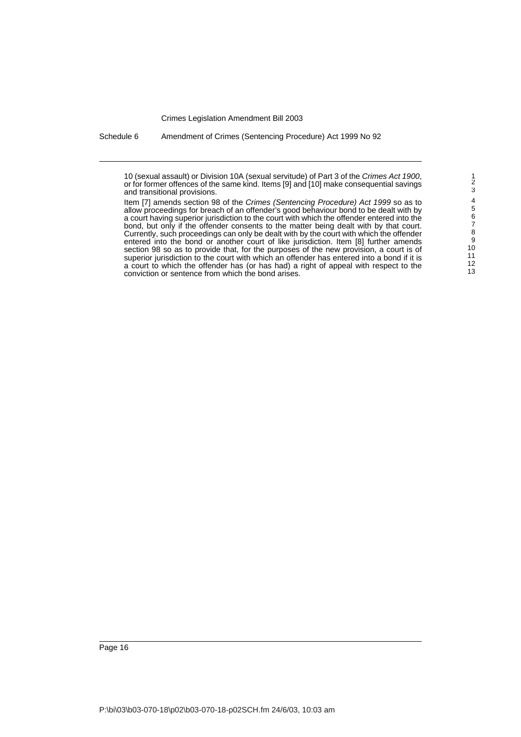Schedule 6 Amendment of Crimes (Sentencing Procedure) Act 1999 No 92

<sup>10 (</sup>sexual assault) or Division 10A (sexual servitude) of Part 3 of the Crimes Act 1900, or for former offences of the same kind. Items [9] and [10] make consequential savings and transitional provisions.

Item [7] amends section 98 of the Crimes (Sentencing Procedure) Act 1999 so as to allow proceedings for breach of an offender's good behaviour bond to be dealt with by a court having superior jurisdiction to the court with which the offender entered into the bond, but only if the offender consents to the matter being dealt with by that court. Currently, such proceedings can only be dealt with by the court with which the offender entered into the bond or another court of like jurisdiction. Item [8] further amends section 98 so as to provide that, for the purposes of the new provision, a court is of superior jurisdiction to the court with which an offender has entered into a bond if it is a court to which the offender has (or has had) a right of appeal with respect to the conviction or sentence from which the bond arises.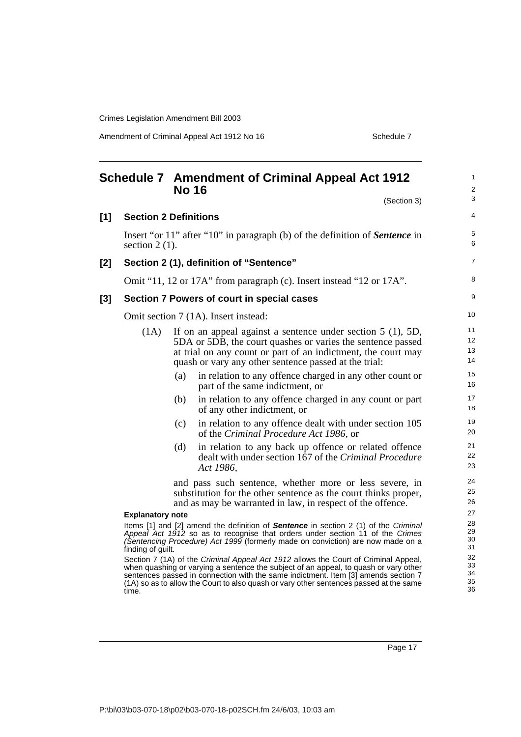Amendment of Criminal Appeal Act 1912 No 16 Schedule 7 Schedule 7

<span id="page-20-0"></span>

|     |                              |     | <b>Schedule 7 Amendment of Criminal Appeal Act 1912</b><br><b>No 16</b><br>(Section 3)                                                                                                                                                                                                                                                                      | 1<br>2<br>3                |
|-----|------------------------------|-----|-------------------------------------------------------------------------------------------------------------------------------------------------------------------------------------------------------------------------------------------------------------------------------------------------------------------------------------------------------------|----------------------------|
| [1] | <b>Section 2 Definitions</b> |     |                                                                                                                                                                                                                                                                                                                                                             | 4                          |
|     | section $2(1)$ .             |     | Insert "or 11" after "10" in paragraph (b) of the definition of <i>Sentence</i> in                                                                                                                                                                                                                                                                          | 5<br>6                     |
| [2] |                              |     | Section 2 (1), definition of "Sentence"                                                                                                                                                                                                                                                                                                                     | $\overline{7}$             |
|     |                              |     | Omit "11, 12 or 17A" from paragraph (c). Insert instead "12 or 17A".                                                                                                                                                                                                                                                                                        | 8                          |
| [3] |                              |     | Section 7 Powers of court in special cases                                                                                                                                                                                                                                                                                                                  | 9                          |
|     |                              |     | Omit section 7 (1A). Insert instead:                                                                                                                                                                                                                                                                                                                        | 10                         |
|     | (1A)                         |     | If on an appeal against a sentence under section $5(1)$ , $5D$ ,<br>5DA or 5DB, the court quashes or varies the sentence passed<br>at trial on any count or part of an indictment, the court may<br>quash or vary any other sentence passed at the trial:                                                                                                   | 11<br>12<br>13<br>14       |
|     |                              | (a) | in relation to any offence charged in any other count or<br>part of the same indictment, or                                                                                                                                                                                                                                                                 | 15<br>16                   |
|     |                              | (b) | in relation to any offence charged in any count or part<br>of any other indictment, or                                                                                                                                                                                                                                                                      | 17<br>18                   |
|     |                              | (c) | in relation to any offence dealt with under section 105<br>of the Criminal Procedure Act 1986, or                                                                                                                                                                                                                                                           | 19<br>20                   |
|     |                              | (d) | in relation to any back up offence or related offence<br>dealt with under section 167 of the Criminal Procedure<br>Act 1986,                                                                                                                                                                                                                                | 21<br>22<br>23             |
|     |                              |     | and pass such sentence, whether more or less severe, in<br>substitution for the other sentence as the court thinks proper,<br>and as may be warranted in law, in respect of the offence.                                                                                                                                                                    | 24<br>25<br>26             |
|     | <b>Explanatory note</b>      |     |                                                                                                                                                                                                                                                                                                                                                             | 27                         |
|     | finding of guilt.            |     | Items [1] and [2] amend the definition of Sentence in section 2 (1) of the Criminal<br>Appeal Act 1912 so as to recognise that orders under section 11 of the Crimes<br>(Sentencing Procedure) Act 1999 (formerly made on conviction) are now made on a                                                                                                     | 28<br>29<br>30<br>31       |
|     | time.                        |     | Section 7 (1A) of the Criminal Appeal Act 1912 allows the Court of Criminal Appeal,<br>when quashing or varying a sentence the subject of an appeal, to quash or vary other<br>sentences passed in connection with the same indictment. Item [3] amends section 7<br>(1A) so as to allow the Court to also quash or vary other sentences passed at the same | 32<br>33<br>34<br>35<br>36 |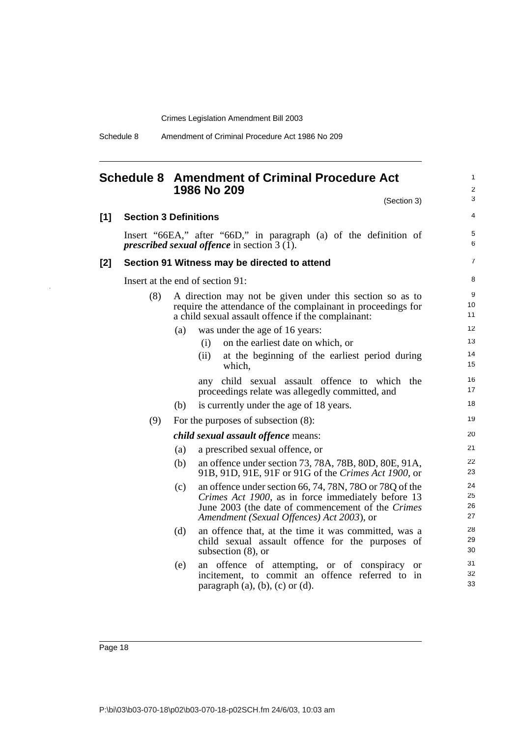Schedule 8 Amendment of Criminal Procedure Act 1986 No 209

## <span id="page-21-0"></span>**Schedule 8 Amendment of Criminal Procedure Act 1986 No 209**

|     |                                                                                                                           |     |      |                                                                                                                                                                                                                 |                                                |  |  | (Section 3) |           | 3                    |
|-----|---------------------------------------------------------------------------------------------------------------------------|-----|------|-----------------------------------------------------------------------------------------------------------------------------------------------------------------------------------------------------------------|------------------------------------------------|--|--|-------------|-----------|----------------------|
| [1] | <b>Section 3 Definitions</b>                                                                                              |     |      |                                                                                                                                                                                                                 |                                                |  |  |             |           | 4                    |
|     | Insert "66EA," after "66D," in paragraph (a) of the definition of<br><i>prescribed sexual offence</i> in section $3(1)$ . |     |      |                                                                                                                                                                                                                 |                                                |  |  |             |           | 5<br>6               |
| [2] | Section 91 Witness may be directed to attend                                                                              |     |      |                                                                                                                                                                                                                 |                                                |  |  |             |           | $\overline{7}$       |
|     | Insert at the end of section 91:                                                                                          |     |      |                                                                                                                                                                                                                 |                                                |  |  |             |           | 8                    |
|     | (8)                                                                                                                       |     |      | A direction may not be given under this section so as to<br>require the attendance of the complainant in proceedings for<br>a child sexual assault offence if the complainant:                                  |                                                |  |  |             |           | 9<br>10<br>11        |
|     |                                                                                                                           | (a) |      | was under the age of 16 years:                                                                                                                                                                                  |                                                |  |  |             |           | 12                   |
|     |                                                                                                                           |     | (i)  |                                                                                                                                                                                                                 | on the earliest date on which, or              |  |  |             |           | 13                   |
|     |                                                                                                                           |     | (ii) | which,                                                                                                                                                                                                          | at the beginning of the earliest period during |  |  |             |           | 14<br>15             |
|     |                                                                                                                           |     |      | any child sexual assault offence to which the<br>proceedings relate was allegedly committed, and                                                                                                                |                                                |  |  |             |           | 16<br>17             |
|     |                                                                                                                           | (b) |      | is currently under the age of 18 years.                                                                                                                                                                         |                                                |  |  |             |           | 18                   |
|     | (9)                                                                                                                       |     |      | For the purposes of subsection (8):                                                                                                                                                                             |                                                |  |  |             |           | 19                   |
|     |                                                                                                                           |     |      | <i>child sexual assault offence means:</i>                                                                                                                                                                      |                                                |  |  |             |           | 20                   |
|     |                                                                                                                           | (a) |      | a prescribed sexual offence, or                                                                                                                                                                                 |                                                |  |  |             |           | 21                   |
|     |                                                                                                                           | (b) |      | an offence under section 73, 78A, 78B, 80D, 80E, 91A,<br>91B, 91D, 91E, 91F or 91G of the Crimes Act 1900, or                                                                                                   |                                                |  |  |             |           | 22<br>23             |
|     |                                                                                                                           | (c) |      | an offence under section 66, 74, 78N, 78O or 78Q of the<br>Crimes Act 1900, as in force immediately before 13<br>June 2003 (the date of commencement of the Crimes<br>Amendment (Sexual Offences) Act 2003), or |                                                |  |  |             |           | 24<br>25<br>26<br>27 |
|     |                                                                                                                           | (d) |      | an offence that, at the time it was committed, was a<br>child sexual assault offence for the purposes of<br>subsection $(8)$ , or                                                                               |                                                |  |  |             |           | 28<br>29<br>30       |
|     |                                                                                                                           | (e) |      | an offence of attempting, or of conspiracy<br>incitement, to commit an offence referred to in<br>paragraph $(a)$ , $(b)$ , $(c)$ or $(d)$ .                                                                     |                                                |  |  |             | <b>or</b> | 31<br>32<br>33       |

1 2

Page 18

 $[1]$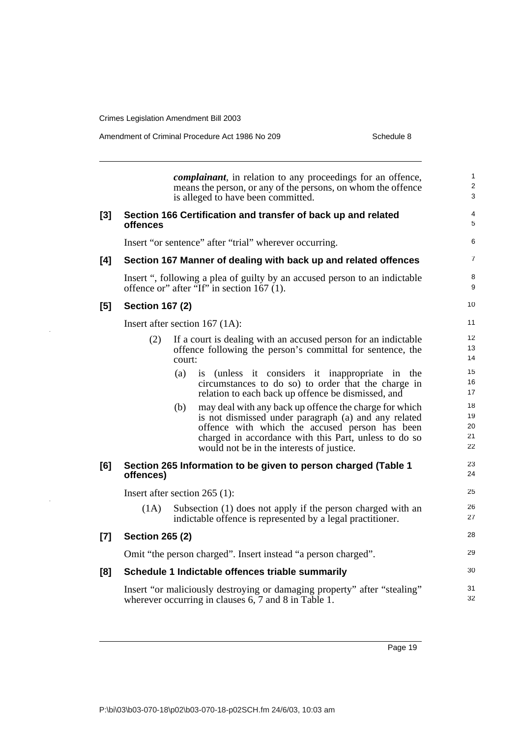Amendment of Criminal Procedure Act 1986 No 209

| Schedule 8 |
|------------|
|------------|

|          |                               |        | <i>complainant</i> , in relation to any proceedings for an offence,<br>means the person, or any of the persons, on whom the offence<br>is alleged to have been committed.                                                                                              | 1<br>$\overline{\mathbf{c}}$<br>3 |
|----------|-------------------------------|--------|------------------------------------------------------------------------------------------------------------------------------------------------------------------------------------------------------------------------------------------------------------------------|-----------------------------------|
| $^{[3]}$ | offences                      |        | Section 166 Certification and transfer of back up and related                                                                                                                                                                                                          | 4<br>5                            |
|          |                               |        | Insert "or sentence" after "trial" wherever occurring.                                                                                                                                                                                                                 | 6                                 |
| [4]      |                               |        | Section 167 Manner of dealing with back up and related offences                                                                                                                                                                                                        | 7                                 |
|          |                               |        | Insert ", following a plea of guilty by an accused person to an indictable<br>offence or" after "If" in section $167(1)$ .                                                                                                                                             | 8<br>9                            |
| [5]      | <b>Section 167 (2)</b>        |        |                                                                                                                                                                                                                                                                        | 10                                |
|          |                               |        | Insert after section $167$ (1A):                                                                                                                                                                                                                                       | 11                                |
|          | (2)                           | court: | If a court is dealing with an accused person for an indictable<br>offence following the person's committal for sentence, the                                                                                                                                           | 12<br>13<br>14                    |
|          |                               | (a)    | is (unless it considers it inappropriate in the<br>circumstances to do so) to order that the charge in<br>relation to each back up offence be dismissed, and                                                                                                           | 15<br>16<br>17                    |
|          |                               | (b)    | may deal with any back up offence the charge for which<br>is not dismissed under paragraph (a) and any related<br>offence with which the accused person has been<br>charged in accordance with this Part, unless to do so<br>would not be in the interests of justice. | 18<br>19<br>20<br>21<br>22        |
| [6]      | offences)                     |        | Section 265 Information to be given to person charged (Table 1                                                                                                                                                                                                         | 23<br>24                          |
|          | Insert after section 265 (1): |        |                                                                                                                                                                                                                                                                        | 25                                |
|          | (1A)                          |        | Subsection (1) does not apply if the person charged with an<br>indictable offence is represented by a legal practitioner.                                                                                                                                              | 26<br>27                          |
| [7]      | <b>Section 265 (2)</b>        |        |                                                                                                                                                                                                                                                                        | 28                                |
|          |                               |        | Omit "the person charged". Insert instead "a person charged".                                                                                                                                                                                                          | 29                                |
| [8]      |                               |        | Schedule 1 Indictable offences triable summarily                                                                                                                                                                                                                       | 30                                |
|          |                               |        | Insert "or maliciously destroying or damaging property" after "stealing"<br>wherever occurring in clauses 6, 7 and 8 in Table 1.                                                                                                                                       | 31<br>32                          |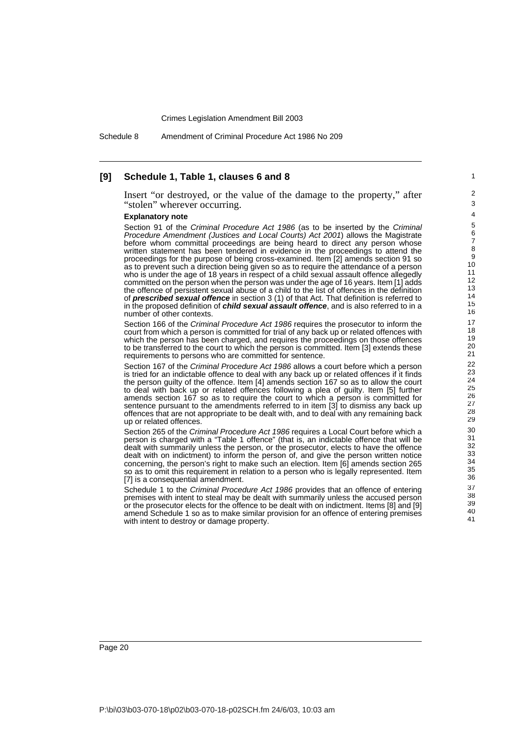Schedule 8 Amendment of Criminal Procedure Act 1986 No 209

### **[9] Schedule 1, Table 1, clauses 6 and 8**

Insert "or destroyed, or the value of the damage to the property," after "stolen" wherever occurring.

#### **Explanatory note**

Section 91 of the Criminal Procedure Act 1986 (as to be inserted by the Criminal Procedure Amendment (Justices and Local Courts) Act 2001) allows the Magistrate before whom committal proceedings are being heard to direct any person whose written statement has been tendered in evidence in the proceedings to attend the proceedings for the purpose of being cross-examined. Item [2] amends section 91 so as to prevent such a direction being given so as to require the attendance of a person who is under the age of 18 years in respect of a child sexual assault offence allegedly committed on the person when the person was under the age of 16 years. Item [1] adds the offence of persistent sexual abuse of a child to the list of offences in the definition of **prescribed sexual offence** in section 3 (1) of that Act. That definition is referred to in the proposed definition of **child sexual assault offence**, and is also referred to in a number of other contexts.

Section 166 of the Criminal Procedure Act 1986 requires the prosecutor to inform the court from which a person is committed for trial of any back up or related offences with which the person has been charged, and requires the proceedings on those offences to be transferred to the court to which the person is committed. Item [3] extends these requirements to persons who are committed for sentence.

Section 167 of the Criminal Procedure Act 1986 allows a court before which a person is tried for an indictable offence to deal with any back up or related offences if it finds the person guilty of the offence. Item [4] amends section 167 so as to allow the court to deal with back up or related offences following a plea of guilty. Item [5] further amends section 167 so as to require the court to which a person is committed for sentence pursuant to the amendments referred to in item [3] to dismiss any back up offences that are not appropriate to be dealt with, and to deal with any remaining back up or related offences.

Section 265 of the Criminal Procedure Act 1986 requires a Local Court before which a person is charged with a "Table 1 offence" (that is, an indictable offence that will be dealt with summarily unless the person, or the prosecutor, elects to have the offence dealt with on indictment) to inform the person of, and give the person written notice concerning, the person's right to make such an election. Item [6] amends section 265 so as to omit this requirement in relation to a person who is legally represented. Item [7] is a consequential amendment.

Schedule 1 to the Criminal Procedure Act 1986 provides that an offence of entering premises with intent to steal may be dealt with summarily unless the accused person or the prosecutor elects for the offence to be dealt with on indictment. Items [8] and [9] amend Schedule 1 so as to make similar provision for an offence of entering premises with intent to destroy or damage property.

1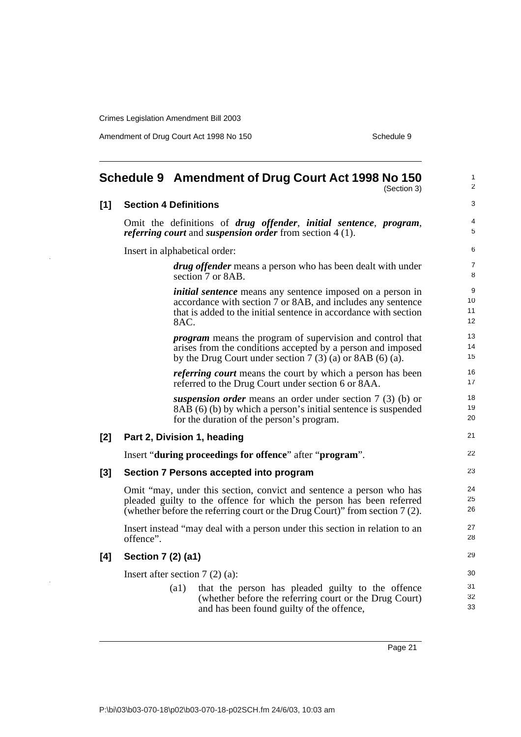Amendment of Drug Court Act 1998 No 150 Schedule 9

<span id="page-24-0"></span>

|       | Schedule 9 Amendment of Drug Court Act 1998 No 150<br>(Section 3) |                                                                                                                                                                                                                            |                      |  |
|-------|-------------------------------------------------------------------|----------------------------------------------------------------------------------------------------------------------------------------------------------------------------------------------------------------------------|----------------------|--|
| $[1]$ |                                                                   | <b>Section 4 Definitions</b>                                                                                                                                                                                               | 3                    |  |
|       |                                                                   | Omit the definitions of drug offender, initial sentence, program,<br><i>referring court</i> and <i>suspension order</i> from section 4(1).                                                                                 | $\overline{4}$<br>5  |  |
|       |                                                                   | Insert in alphabetical order:                                                                                                                                                                                              | 6                    |  |
|       |                                                                   | <i>drug offender</i> means a person who has been dealt with under<br>section 7 or 8AB.                                                                                                                                     | $\overline{7}$<br>8  |  |
|       |                                                                   | <i>initial sentence</i> means any sentence imposed on a person in<br>accordance with section 7 or 8AB, and includes any sentence<br>that is added to the initial sentence in accordance with section<br>8AC.               | 9<br>10<br>11<br>12  |  |
|       |                                                                   | <i>program</i> means the program of supervision and control that<br>arises from the conditions accepted by a person and imposed<br>by the Drug Court under section $7(3)(a)$ or 8AB (6) (a).                               | 13<br>14<br>15       |  |
|       |                                                                   | <i>referring court</i> means the court by which a person has been<br>referred to the Drug Court under section 6 or 8AA.                                                                                                    | 16<br>17             |  |
|       |                                                                   | suspension order means an order under section $7(3)$ (b) or<br>8AB (6) (b) by which a person's initial sentence is suspended<br>for the duration of the person's program.                                                  | 18<br>19<br>20       |  |
| [2]   |                                                                   | Part 2, Division 1, heading                                                                                                                                                                                                | 21                   |  |
|       |                                                                   | Insert "during proceedings for offence" after "program".                                                                                                                                                                   | 22                   |  |
| [3]   |                                                                   | Section 7 Persons accepted into program                                                                                                                                                                                    | 23                   |  |
|       |                                                                   | Omit "may, under this section, convict and sentence a person who has<br>pleaded guilty to the offence for which the person has been referred<br>(whether before the referring court or the Drug Court)" from section 7(2). | 24<br>25<br>26       |  |
|       | offence".                                                         | Insert instead "may deal with a person under this section in relation to an                                                                                                                                                | 27<br>28             |  |
| [4]   | Section 7 (2) (a1)                                                |                                                                                                                                                                                                                            | 29                   |  |
|       |                                                                   | Insert after section $7(2)(a)$ :<br>(a1)<br>that the person has pleaded guilty to the offence<br>(whether before the referring court or the Drug Court)<br>and has been found guilty of the offence,                       | 30<br>31<br>32<br>33 |  |

Page 21

i.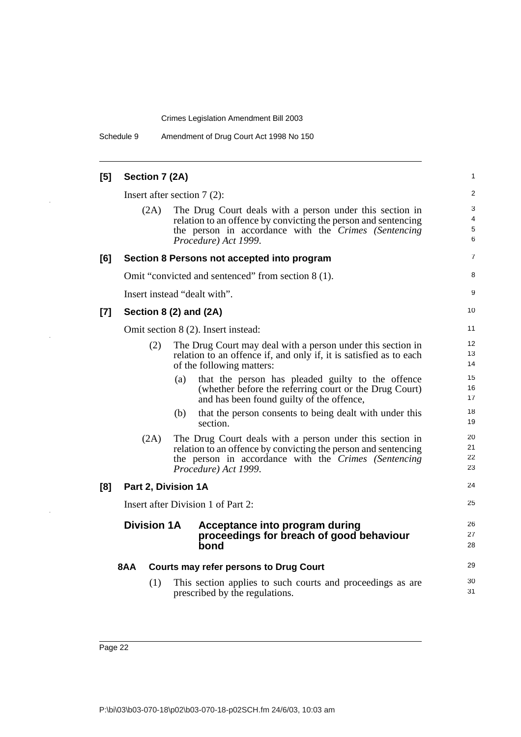Schedule 9 Amendment of Drug Court Act 1998 No 150

| [5]   | Section 7 (2A)     |                                                                                                                                                                                                            | 1                    |
|-------|--------------------|------------------------------------------------------------------------------------------------------------------------------------------------------------------------------------------------------------|----------------------|
|       |                    | Insert after section $7(2)$ :                                                                                                                                                                              | 2                    |
|       | (2A)               | The Drug Court deals with a person under this section in<br>relation to an offence by convicting the person and sentencing<br>the person in accordance with the Crimes (Sentencing<br>Procedure) Act 1999. | 3<br>4<br>5<br>6     |
| [6]   |                    | Section 8 Persons not accepted into program                                                                                                                                                                | 7                    |
|       |                    | Omit "convicted and sentenced" from section 8 (1).                                                                                                                                                         | 8                    |
|       |                    | Insert instead "dealt with".                                                                                                                                                                               | 9                    |
| $[7]$ |                    | Section 8 (2) and (2A)                                                                                                                                                                                     | 10                   |
|       |                    | Omit section 8 (2). Insert instead:                                                                                                                                                                        | 11                   |
|       | (2)                | The Drug Court may deal with a person under this section in<br>relation to an offence if, and only if, it is satisfied as to each<br>of the following matters:                                             | 12<br>13<br>14       |
|       |                    | that the person has pleaded guilty to the offence<br>(a)<br>(whether before the referring court or the Drug Court)<br>and has been found guilty of the offence,                                            | 15<br>16<br>17       |
|       |                    | (b)<br>that the person consents to being dealt with under this<br>section.                                                                                                                                 | 18<br>19             |
|       | (2A)               | The Drug Court deals with a person under this section in<br>relation to an offence by convicting the person and sentencing<br>the person in accordance with the Crimes (Sentencing<br>Procedure) Act 1999. | 20<br>21<br>22<br>23 |
| [8]   |                    | Part 2, Division 1A                                                                                                                                                                                        | 24                   |
|       |                    | Insert after Division 1 of Part 2:                                                                                                                                                                         | 25                   |
|       | <b>Division 1A</b> | Acceptance into program during<br>proceedings for breach of good behaviour<br>bond                                                                                                                         | 26<br>27<br>28       |
|       | 8AA                | <b>Courts may refer persons to Drug Court</b>                                                                                                                                                              | 29                   |
|       | (1)                | This section applies to such courts and proceedings as are<br>prescribed by the regulations.                                                                                                               | 30<br>31             |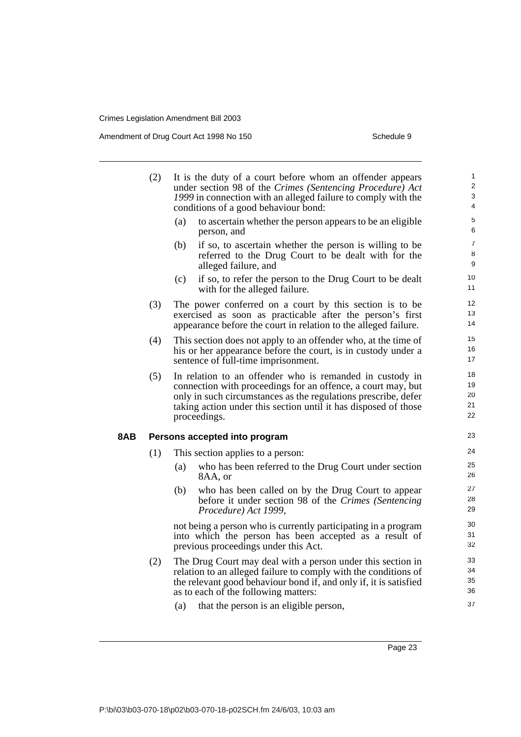Amendment of Drug Court Act 1998 No 150 Schedule 9

|     | (2) | It is the duty of a court before whom an offender appears<br>under section 98 of the Crimes (Sentencing Procedure) Act<br>1999 in connection with an alleged failure to comply with the<br>conditions of a good behaviour bond:                                               | $\mathbf{1}$<br>2<br>$\ensuremath{\mathsf{3}}$<br>4 |
|-----|-----|-------------------------------------------------------------------------------------------------------------------------------------------------------------------------------------------------------------------------------------------------------------------------------|-----------------------------------------------------|
|     |     | (a)<br>to ascertain whether the person appears to be an eligible<br>person, and                                                                                                                                                                                               | $\mathbf 5$<br>6                                    |
|     |     | if so, to ascertain whether the person is willing to be<br>(b)<br>referred to the Drug Court to be dealt with for the<br>alleged failure, and                                                                                                                                 | $\overline{7}$<br>8<br>9                            |
|     |     | (c)<br>if so, to refer the person to the Drug Court to be dealt<br>with for the alleged failure.                                                                                                                                                                              | 10<br>11                                            |
|     | (3) | The power conferred on a court by this section is to be<br>exercised as soon as practicable after the person's first<br>appearance before the court in relation to the alleged failure.                                                                                       | 12<br>13<br>14                                      |
|     | (4) | This section does not apply to an offender who, at the time of<br>his or her appearance before the court, is in custody under a<br>sentence of full-time imprisonment.                                                                                                        | 15<br>16<br>$17$                                    |
|     | (5) | In relation to an offender who is remanded in custody in<br>connection with proceedings for an offence, a court may, but<br>only in such circumstances as the regulations prescribe, defer<br>taking action under this section until it has disposed of those<br>proceedings. | 18<br>19<br>20<br>21<br>22                          |
| 8AB |     | Persons accepted into program                                                                                                                                                                                                                                                 | 23                                                  |
|     | (1) | This section applies to a person:                                                                                                                                                                                                                                             | 24                                                  |
|     |     | (a)<br>who has been referred to the Drug Court under section<br>8AA, or                                                                                                                                                                                                       | 25<br>26                                            |
|     |     | who has been called on by the Drug Court to appear<br>(b)<br>before it under section 98 of the Crimes (Sentencing<br>Procedure) Act 1999,                                                                                                                                     | 27<br>28<br>29                                      |
|     |     | not being a person who is currently participating in a program<br>into which the person has been accepted as a result of<br>previous proceedings under this Act.                                                                                                              | 30<br>31<br>32                                      |
|     | (2) | The Drug Court may deal with a person under this section in<br>relation to an alleged failure to comply with the conditions of<br>the relevant good behaviour bond if, and only if, it is satisfied<br>as to each of the following matters:                                   | 33<br>34<br>35<br>36                                |
|     |     | that the person is an eligible person,<br>(a)                                                                                                                                                                                                                                 | 37                                                  |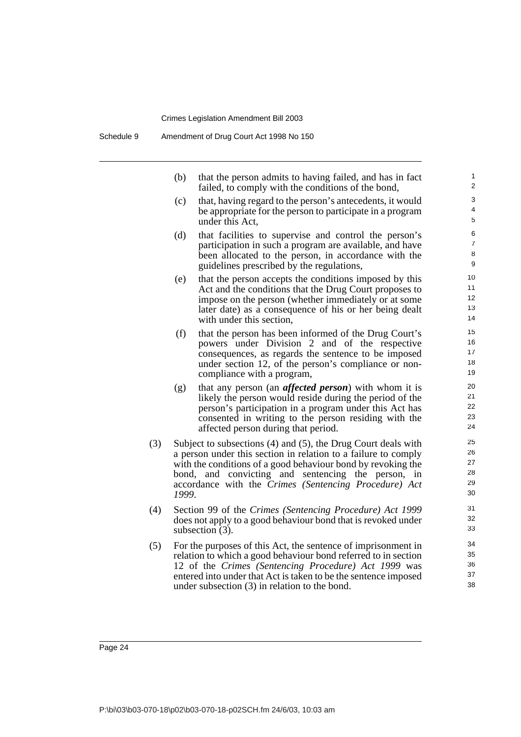(b) that the person admits to having failed, and has in fact failed, to comply with the conditions of the bond,

- (c) that, having regard to the person's antecedents, it would be appropriate for the person to participate in a program under this Act,
- (d) that facilities to supervise and control the person's participation in such a program are available, and have been allocated to the person, in accordance with the guidelines prescribed by the regulations,
- (e) that the person accepts the conditions imposed by this Act and the conditions that the Drug Court proposes to impose on the person (whether immediately or at some later date) as a consequence of his or her being dealt with under this section,
- (f) that the person has been informed of the Drug Court's powers under Division 2 and of the respective consequences, as regards the sentence to be imposed under section 12, of the person's compliance or noncompliance with a program,
- (g) that any person (an *affected person*) with whom it is likely the person would reside during the period of the person's participation in a program under this Act has consented in writing to the person residing with the affected person during that period.
- (3) Subject to subsections (4) and (5), the Drug Court deals with a person under this section in relation to a failure to comply with the conditions of a good behaviour bond by revoking the bond, and convicting and sentencing the person, in accordance with the *Crimes (Sentencing Procedure) Act 1999*.
- (4) Section 99 of the *Crimes (Sentencing Procedure) Act 1999* does not apply to a good behaviour bond that is revoked under subsection (3).
- (5) For the purposes of this Act, the sentence of imprisonment in relation to which a good behaviour bond referred to in section 12 of the *Crimes (Sentencing Procedure) Act 1999* was entered into under that Act is taken to be the sentence imposed under subsection (3) in relation to the bond.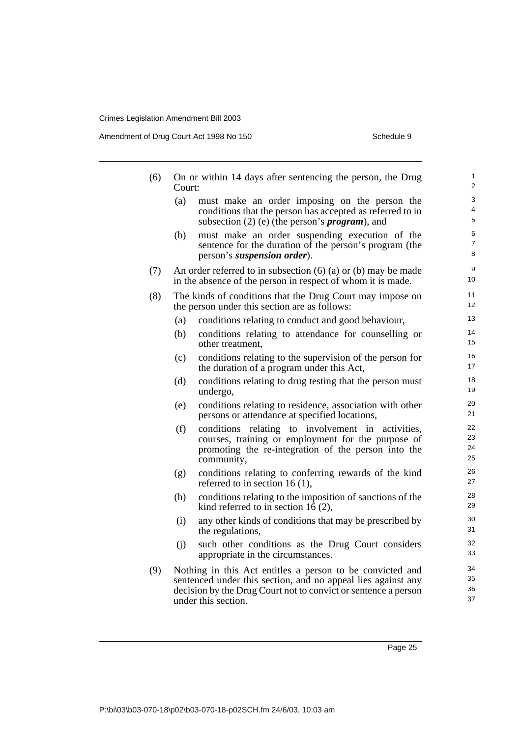Amendment of Drug Court Act 1998 No 150 Schedule 9

| (6) | Court: | On or within 14 days after sentencing the person, the Drug                                                                                                                                                         | 1<br>$\overline{2}$  |
|-----|--------|--------------------------------------------------------------------------------------------------------------------------------------------------------------------------------------------------------------------|----------------------|
|     | (a)    | must make an order imposing on the person the<br>conditions that the person has accepted as referred to in<br>subsection $(2)$ (e) (the person's <i>program</i> ), and                                             | 3<br>4<br>5          |
|     | (b)    | must make an order suspending execution of the<br>sentence for the duration of the person's program (the<br>person's suspension order).                                                                            | 6<br>7<br>8          |
| (7) |        | An order referred to in subsection $(6)$ (a) or (b) may be made<br>in the absence of the person in respect of whom it is made.                                                                                     | 9<br>10              |
| (8) |        | The kinds of conditions that the Drug Court may impose on<br>the person under this section are as follows:                                                                                                         | 11<br>12             |
|     | (a)    | conditions relating to conduct and good behaviour,                                                                                                                                                                 | 13                   |
|     | (b)    | conditions relating to attendance for counselling or<br>other treatment,                                                                                                                                           | 14<br>15             |
|     | (c)    | conditions relating to the supervision of the person for<br>the duration of a program under this Act,                                                                                                              | 16<br>17             |
|     | (d)    | conditions relating to drug testing that the person must<br>undergo,                                                                                                                                               | 18<br>19             |
|     | (e)    | conditions relating to residence, association with other<br>persons or attendance at specified locations,                                                                                                          | 20<br>21             |
|     | (f)    | conditions relating to involvement in<br>activities,<br>courses, training or employment for the purpose of<br>promoting the re-integration of the person into the<br>community,                                    | 22<br>23<br>24<br>25 |
|     | (g)    | conditions relating to conferring rewards of the kind<br>referred to in section 16 $(1)$ ,                                                                                                                         | 26<br>27             |
|     | (h)    | conditions relating to the imposition of sanctions of the<br>kind referred to in section 16 $(2)$ ,                                                                                                                | 28<br>29             |
|     | (i)    | any other kinds of conditions that may be prescribed by<br>the regulations,                                                                                                                                        | 30<br>31             |
|     | (i)    | such other conditions as the Drug Court considers<br>appropriate in the circumstances.                                                                                                                             | 32<br>33             |
| (9) |        | Nothing in this Act entitles a person to be convicted and<br>sentenced under this section, and no appeal lies against any<br>decision by the Drug Court not to convict or sentence a person<br>under this section. | 34<br>35<br>36<br>37 |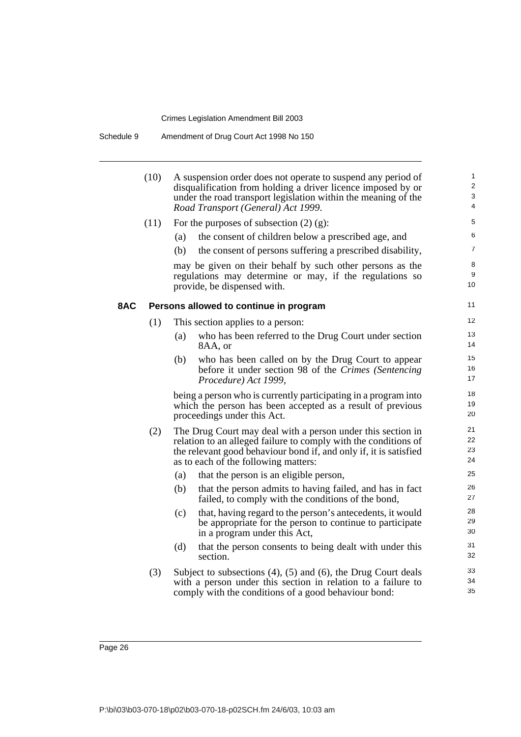| Schedule 9 | Amendment of Drug Court Act 1998 No 150 |
|------------|-----------------------------------------|
|------------|-----------------------------------------|

|     | (10) | A suspension order does not operate to suspend any period of<br>disqualification from holding a driver licence imposed by or<br>under the road transport legislation within the meaning of the<br>Road Transport (General) Act 1999.        | $\mathbf{1}$<br>$\overline{\mathbf{c}}$<br>3<br>4 |
|-----|------|---------------------------------------------------------------------------------------------------------------------------------------------------------------------------------------------------------------------------------------------|---------------------------------------------------|
|     | (11) | For the purposes of subsection $(2)$ $(g)$ :                                                                                                                                                                                                | 5                                                 |
|     |      | the consent of children below a prescribed age, and<br>(a)                                                                                                                                                                                  | 6                                                 |
|     |      | (b)<br>the consent of persons suffering a prescribed disability,                                                                                                                                                                            | 7                                                 |
|     |      | may be given on their behalf by such other persons as the<br>regulations may determine or may, if the regulations so<br>provide, be dispensed with.                                                                                         | 8<br>9<br>10                                      |
| 8AC |      | Persons allowed to continue in program                                                                                                                                                                                                      | 11                                                |
|     | (1)  | This section applies to a person:                                                                                                                                                                                                           | 12                                                |
|     |      | who has been referred to the Drug Court under section<br>(a)<br>8AA, or                                                                                                                                                                     | 13<br>14                                          |
|     |      | who has been called on by the Drug Court to appear<br>(b)<br>before it under section 98 of the Crimes (Sentencing<br>Procedure) Act 1999,                                                                                                   | 15<br>16<br>17                                    |
|     |      | being a person who is currently participating in a program into<br>which the person has been accepted as a result of previous<br>proceedings under this Act.                                                                                | 18<br>19<br>20                                    |
|     | (2)  | The Drug Court may deal with a person under this section in<br>relation to an alleged failure to comply with the conditions of<br>the relevant good behaviour bond if, and only if, it is satisfied<br>as to each of the following matters: | 21<br>22<br>23<br>24                              |
|     |      | (a)<br>that the person is an eligible person,                                                                                                                                                                                               | 25                                                |
|     |      | (b)<br>that the person admits to having failed, and has in fact<br>failed, to comply with the conditions of the bond,                                                                                                                       | 26<br>27                                          |
|     |      | that, having regard to the person's antecedents, it would<br>(c)<br>be appropriate for the person to continue to participate<br>in a program under this Act,                                                                                | 28<br>29<br>30                                    |
|     |      | (d)<br>that the person consents to being dealt with under this<br>section.                                                                                                                                                                  | 31<br>32                                          |
|     | (3)  | Subject to subsections $(4)$ , $(5)$ and $(6)$ , the Drug Court deals<br>with a person under this section in relation to a failure to<br>comply with the conditions of a good behaviour bond:                                               | 33<br>34<br>35                                    |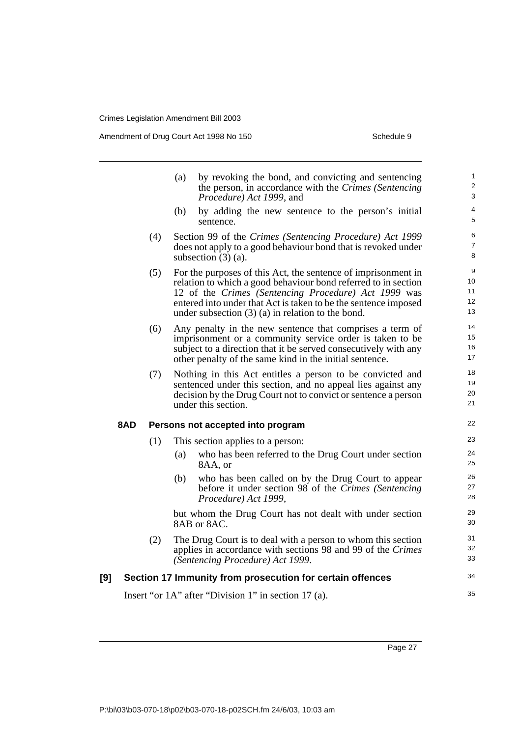Amendment of Drug Court Act 1998 No 150 Schedule 9

|     |     |     | by revoking the bond, and convicting and sentencing<br>(a)<br>the person, in accordance with the Crimes (Sentencing<br>Procedure) Act 1999, and                                                                                                                                                                   | $\mathbf{1}$<br>$\overline{2}$<br>3 |
|-----|-----|-----|-------------------------------------------------------------------------------------------------------------------------------------------------------------------------------------------------------------------------------------------------------------------------------------------------------------------|-------------------------------------|
|     |     |     | (b)<br>by adding the new sentence to the person's initial<br>sentence.                                                                                                                                                                                                                                            | 4<br>5                              |
|     |     | (4) | Section 99 of the Crimes (Sentencing Procedure) Act 1999<br>does not apply to a good behaviour bond that is revoked under<br>subsection $(3)$ $(a)$ .                                                                                                                                                             | 6<br>$\overline{7}$<br>8            |
|     |     | (5) | For the purposes of this Act, the sentence of imprisonment in<br>relation to which a good behaviour bond referred to in section<br>12 of the Crimes (Sentencing Procedure) Act 1999 was<br>entered into under that Act is taken to be the sentence imposed<br>under subsection $(3)$ (a) in relation to the bond. | 9<br>10<br>11<br>12<br>13           |
|     |     | (6) | Any penalty in the new sentence that comprises a term of<br>imprisonment or a community service order is taken to be<br>subject to a direction that it be served consecutively with any<br>other penalty of the same kind in the initial sentence.                                                                | 14<br>15<br>16<br>17                |
|     |     | (7) | Nothing in this Act entitles a person to be convicted and<br>sentenced under this section, and no appeal lies against any<br>decision by the Drug Court not to convict or sentence a person<br>under this section.                                                                                                | 18<br>19<br>20<br>21                |
|     | 8AD |     | Persons not accepted into program                                                                                                                                                                                                                                                                                 | 22                                  |
|     |     | (1) | This section applies to a person:                                                                                                                                                                                                                                                                                 | 23                                  |
|     |     |     | who has been referred to the Drug Court under section<br>(a)<br>8AA, or                                                                                                                                                                                                                                           | 24<br>25                            |
|     |     |     | who has been called on by the Drug Court to appear<br>(b)<br>before it under section 98 of the Crimes (Sentencing<br>Procedure) Act 1999,                                                                                                                                                                         | 26<br>27<br>28                      |
|     |     |     | but whom the Drug Court has not dealt with under section<br>8AB or 8AC.                                                                                                                                                                                                                                           | 29<br>30                            |
|     |     | (2) | The Drug Court is to deal with a person to whom this section<br>applies in accordance with sections 98 and 99 of the Crimes<br>(Sentencing Procedure) Act 1999.                                                                                                                                                   | 31<br>32<br>33                      |
| [9] |     |     | Section 17 Immunity from prosecution for certain offences                                                                                                                                                                                                                                                         | 34                                  |
|     |     |     | Insert "or 1A" after "Division 1" in section 17 (a).                                                                                                                                                                                                                                                              | 35                                  |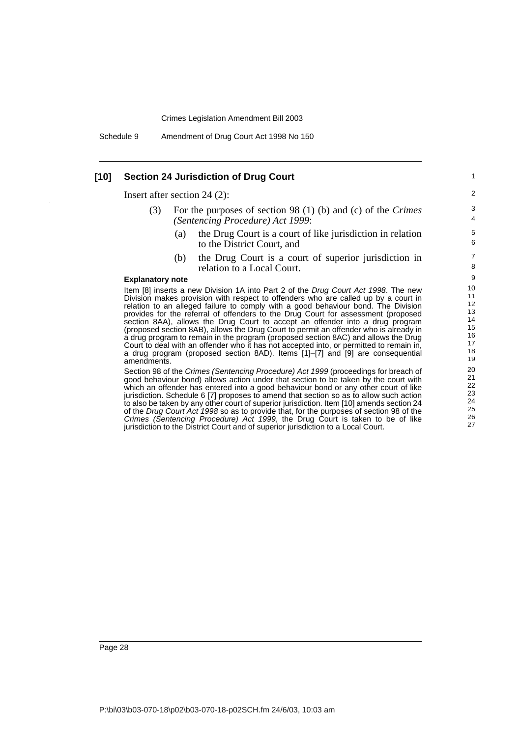Schedule 9 Amendment of Drug Court Act 1998 No 150

### **[10] Section 24 Jurisdiction of Drug Court**

Insert after section 24 (2):

- (3) For the purposes of section 98 (1) (b) and (c) of the *Crimes (Sentencing Procedure) Act 1999*:
	- (a) the Drug Court is a court of like jurisdiction in relation to the District Court, and

(b) the Drug Court is a court of superior jurisdiction in relation to a Local Court.

#### **Explanatory note**

Item [8] inserts a new Division 1A into Part 2 of the Drug Court Act 1998. The new Division makes provision with respect to offenders who are called up by a court in relation to an alleged failure to comply with a good behaviour bond. The Division provides for the referral of offenders to the Drug Court for assessment (proposed section 8AA), allows the Drug Court to accept an offender into a drug program (proposed section 8AB), allows the Drug Court to permit an offender who is already in a drug program to remain in the program (proposed section 8AC) and allows the Drug Court to deal with an offender who it has not accepted into, or permitted to remain in, a drug program (proposed section 8AD). Items [1]–[7] and [9] are consequential amendments.

Section 98 of the Crimes (Sentencing Procedure) Act 1999 (proceedings for breach of good behaviour bond) allows action under that section to be taken by the court with which an offender has entered into a good behaviour bond or any other court of like jurisdiction. Schedule 6 [7] proposes to amend that section so as to allow such action to also be taken by any other court of superior jurisdiction. Item [10] amends section 24 of the Drug Court Act 1998 so as to provide that, for the purposes of section 98 of the Crimes (Sentencing Procedure) Act 1999, the Drug Court is taken to be of like jurisdiction to the District Court and of superior jurisdiction to a Local Court.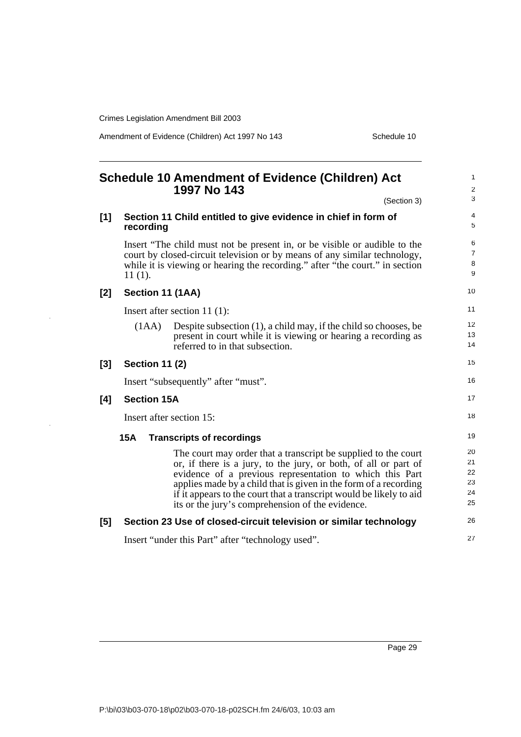$\bar{z}$ 

Amendment of Evidence (Children) Act 1997 No 143 Schedule 10

<span id="page-32-0"></span>

|       |                       | Schedule 10 Amendment of Evidence (Children) Act<br>1997 No 143                                                                                                                                                                                                                                                                                                                              | $\mathbf{1}$<br>$\overline{2}$               |
|-------|-----------------------|----------------------------------------------------------------------------------------------------------------------------------------------------------------------------------------------------------------------------------------------------------------------------------------------------------------------------------------------------------------------------------------------|----------------------------------------------|
|       |                       | (Section 3)                                                                                                                                                                                                                                                                                                                                                                                  | 3                                            |
| [1]   | recording             | Section 11 Child entitled to give evidence in chief in form of                                                                                                                                                                                                                                                                                                                               | 4<br>5                                       |
|       | $11(1)$ .             | Insert "The child must not be present in, or be visible or audible to the<br>court by closed-circuit television or by means of any similar technology,<br>while it is viewing or hearing the recording." after "the court." in section                                                                                                                                                       | 6<br>$\overline{7}$<br>8<br>$\boldsymbol{9}$ |
| [2]   | Section 11 (1AA)      |                                                                                                                                                                                                                                                                                                                                                                                              | 10                                           |
|       |                       | Insert after section 11 $(1)$ :                                                                                                                                                                                                                                                                                                                                                              | 11                                           |
|       | (1AA)                 | Despite subsection (1), a child may, if the child so chooses, be<br>present in court while it is viewing or hearing a recording as<br>referred to in that subsection.                                                                                                                                                                                                                        | 12<br>13<br>14                               |
| $[3]$ | <b>Section 11 (2)</b> |                                                                                                                                                                                                                                                                                                                                                                                              | 15                                           |
|       |                       | Insert "subsequently" after "must".                                                                                                                                                                                                                                                                                                                                                          | 16                                           |
| [4]   | <b>Section 15A</b>    |                                                                                                                                                                                                                                                                                                                                                                                              | 17                                           |
|       |                       | Insert after section 15:                                                                                                                                                                                                                                                                                                                                                                     | 18                                           |
|       | <b>15A</b>            | <b>Transcripts of recordings</b>                                                                                                                                                                                                                                                                                                                                                             | 19                                           |
|       |                       | The court may order that a transcript be supplied to the court<br>or, if there is a jury, to the jury, or both, of all or part of<br>evidence of a previous representation to which this Part<br>applies made by a child that is given in the form of a recording<br>if it appears to the court that a transcript would be likely to aid<br>its or the jury's comprehension of the evidence. | 20<br>21<br>22<br>23<br>24<br>25             |
| $[5]$ |                       | Section 23 Use of closed-circuit television or similar technology                                                                                                                                                                                                                                                                                                                            | 26                                           |
|       |                       | Insert "under this Part" after "technology used".                                                                                                                                                                                                                                                                                                                                            | 27                                           |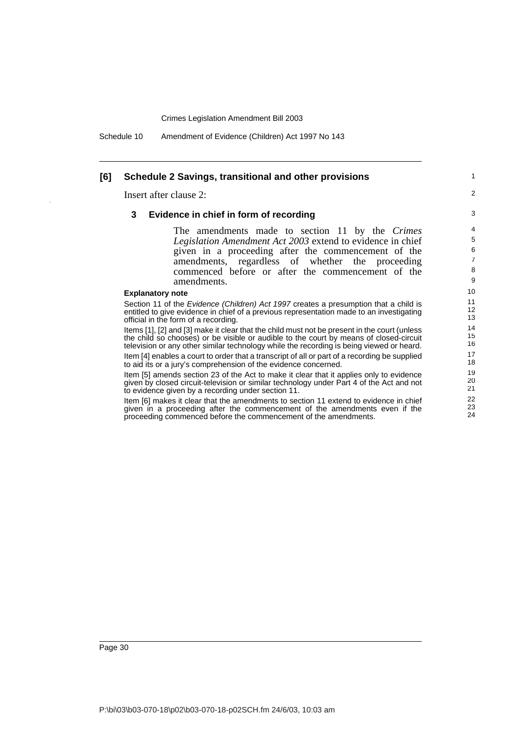Schedule 10 Amendment of Evidence (Children) Act 1997 No 143

#### **[6] Schedule 2 Savings, transitional and other provisions**

Insert after clause 2:

#### **3 Evidence in chief in form of recording**

The amendments made to section 11 by the *Crimes Legislation Amendment Act 2003* extend to evidence in chief given in a proceeding after the commencement of the amendments, regardless of whether the proceeding commenced before or after the commencement of the amendments.

1  $\overline{2}$ 

#### **Explanatory note**

Section 11 of the Evidence (Children) Act 1997 creates a presumption that a child is entitled to give evidence in chief of a previous representation made to an investigating official in the form of a recording.

Items [1], [2] and [3] make it clear that the child must not be present in the court (unless the child so chooses) or be visible or audible to the court by means of closed-circuit television or any other similar technology while the recording is being viewed or heard. Item [4] enables a court to order that a transcript of all or part of a recording be supplied to aid its or a jury's comprehension of the evidence concerned.

Item [5] amends section 23 of the Act to make it clear that it applies only to evidence given by closed circuit-television or similar technology under Part 4 of the Act and not to evidence given by a recording under section 11.

Item [6] makes it clear that the amendments to section 11 extend to evidence in chief given in a proceeding after the commencement of the amendments even if the proceeding commenced before the commencement of the amendments.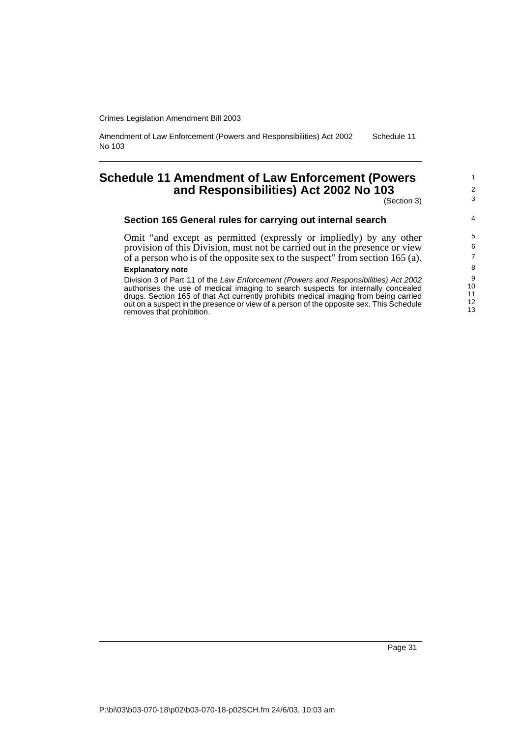Amendment of Law Enforcement (Powers and Responsibilities) Act 2002 No 103 Schedule 11

## <span id="page-34-0"></span>**Schedule 11 Amendment of Law Enforcement (Powers and Responsibilities) Act 2002 No 103**

(Section 3)

### **Section 165 General rules for carrying out internal search**

Omit "and except as permitted (expressly or impliedly) by any other provision of this Division, must not be carried out in the presence or view of a person who is of the opposite sex to the suspect" from section 165 (a).

#### **Explanatory note**

Division 3 of Part 11 of the Law Enforcement (Powers and Responsibilities) Act 2002 authorises the use of medical imaging to search suspects for internally concealed drugs. Section 165 of that Act currently prohibits medical imaging from being carried out on a suspect in the presence or view of a person of the opposite sex. This Schedule removes that prohibition.

1 2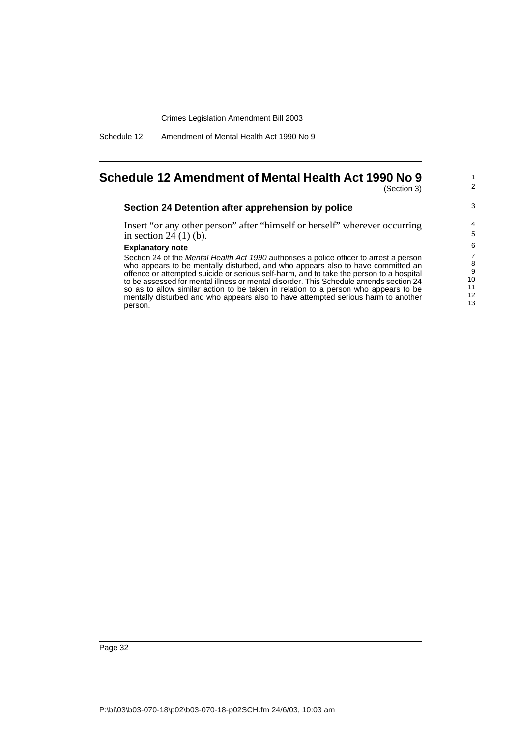Schedule 12 Amendment of Mental Health Act 1990 No 9

# <span id="page-35-0"></span>**Schedule 12 Amendment of Mental Health Act 1990 No 9**

(Section 3)

1 2

3

### **Section 24 Detention after apprehension by police**

Insert "or any other person" after "himself or herself" wherever occurring in section 24 (1) (b).

#### **Explanatory note**

Section 24 of the Mental Health Act 1990 authorises a police officer to arrest a person who appears to be mentally disturbed, and who appears also to have committed an offence or attempted suicide or serious self-harm, and to take the person to a hospital to be assessed for mental illness or mental disorder. This Schedule amends section 24 so as to allow similar action to be taken in relation to a person who appears to be mentally disturbed and who appears also to have attempted serious harm to another person.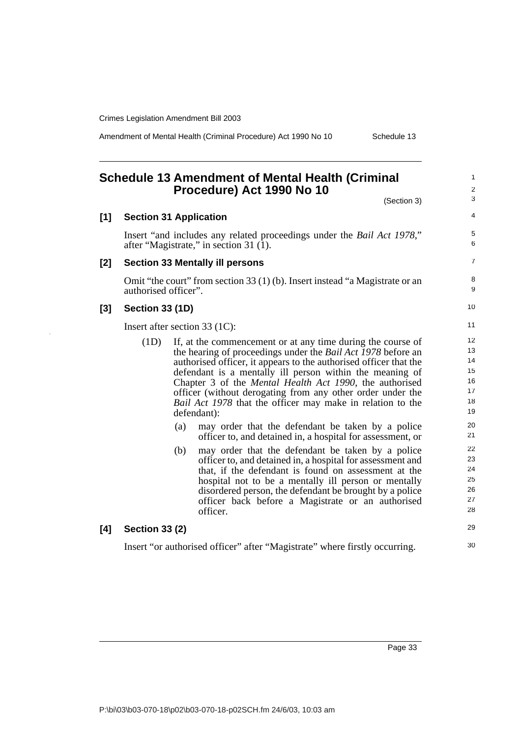Amendment of Mental Health (Criminal Procedure) Act 1990 No 10 Schedule 13

#### <span id="page-36-0"></span>**Schedule 13 Amendment of Mental Health (Criminal Procedure) Act 1990 No 10** (Section 3) **[1] Section 31 Application** Insert "and includes any related proceedings under the *Bail Act 1978*," after "Magistrate," in section 31 (1). **[2] Section 33 Mentally ill persons** Omit "the court" from section 33 (1) (b). Insert instead "a Magistrate or an authorised officer". **[3] Section 33 (1D)** Insert after section 33 (1C): (1D) If, at the commencement or at any time during the course of the hearing of proceedings under the *Bail Act 1978* before an authorised officer, it appears to the authorised officer that the defendant is a mentally ill person within the meaning of Chapter 3 of the *Mental Health Act 1990*, the authorised officer (without derogating from any other order under the *Bail Act 1978* that the officer may make in relation to the defendant): (a) may order that the defendant be taken by a police officer to, and detained in, a hospital for assessment, or (b) may order that the defendant be taken by a police officer to, and detained in, a hospital for assessment and that, if the defendant is found on assessment at the hospital not to be a mentally ill person or mentally disordered person, the defendant be brought by a police officer back before a Magistrate or an authorised officer. **[4] Section 33 (2)** Insert "or authorised officer" after "Magistrate" where firstly occurring. 1  $\mathfrak{p}$ 3 4 5 6 7 8 **9** 10 11 12 13 14 15 16 17 18 19 20 21 22 23 24 25 26 27 28 29 30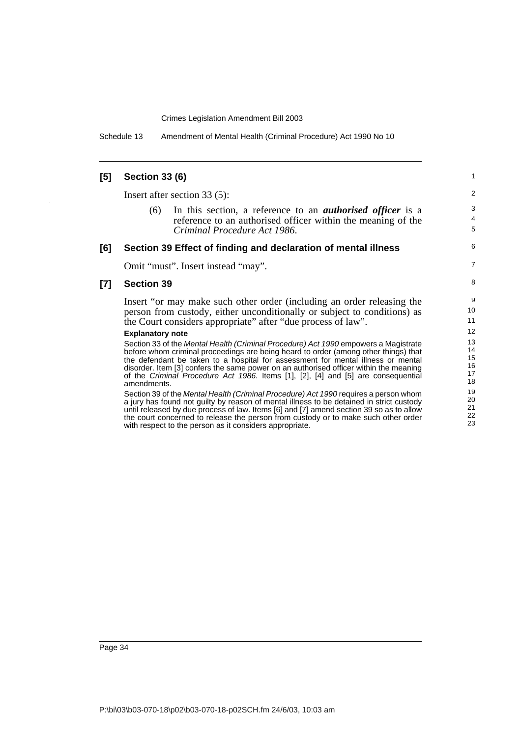Schedule 13 Amendment of Mental Health (Criminal Procedure) Act 1990 No 10

#### **[5] Section 33 (6)** Insert after section 33 (5): (6) In this section, a reference to an *authorised officer* is a reference to an authorised officer within the meaning of the *Criminal Procedure Act 1986*. **[6] Section 39 Effect of finding and declaration of mental illness** Omit "must". Insert instead "may". **[7] Section 39** Insert "or may make such other order (including an order releasing the person from custody, either unconditionally or subject to conditions) as the Court considers appropriate" after "due process of law". **Explanatory note** Section 33 of the Mental Health (Criminal Procedure) Act 1990 empowers a Magistrate before whom criminal proceedings are being heard to order (among other things) that the defendant be taken to a hospital for assessment for mental illness or mental disorder. Item [3] confers the same power on an authorised officer within the meaning of the Criminal Procedure Act 1986. Items [1], [2], [4] and [5] are consequential amendments. Section 39 of the Mental Health (Criminal Procedure) Act 1990 requires a person whom a jury has found not guilty by reason of mental illness to be detained in strict custody until released by due process of law. Items [6] and [7] amend section 39 so as to allow the court concerned to release the person from custody or to make such other order with respect to the person as it considers appropriate. 1  $\mathfrak{p}$ 3 4 5 6 7 8 9 10 11 12 13 14 15 16 17 18 19 20 21 22 23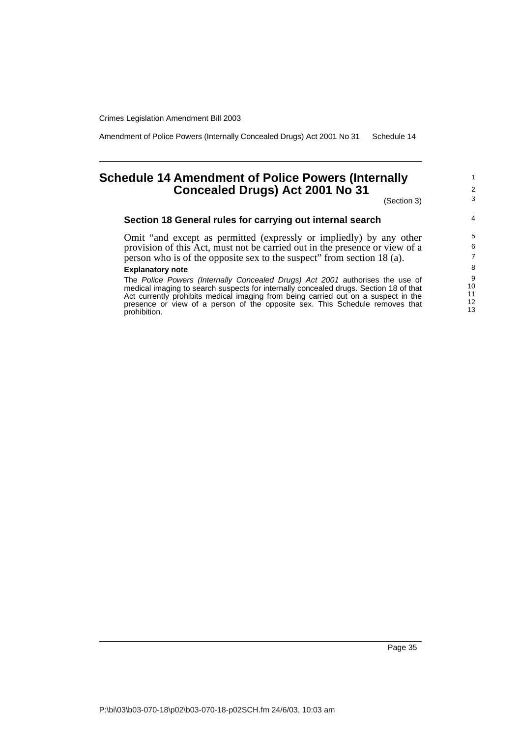Amendment of Police Powers (Internally Concealed Drugs) Act 2001 No 31 Schedule 14

## <span id="page-38-0"></span>**Schedule 14 Amendment of Police Powers (Internally Concealed Drugs) Act 2001 No 31**

(Section 3)

## **Section 18 General rules for carrying out internal search**

Omit "and except as permitted (expressly or impliedly) by any other provision of this Act, must not be carried out in the presence or view of a person who is of the opposite sex to the suspect" from section 18 (a).

#### **Explanatory note**

The Police Powers (Internally Concealed Drugs) Act 2001 authorises the use of medical imaging to search suspects for internally concealed drugs. Section 18 of that Act currently prohibits medical imaging from being carried out on a suspect in the presence or view of a person of the opposite sex. This Schedule removes that prohibition.

1 2 3